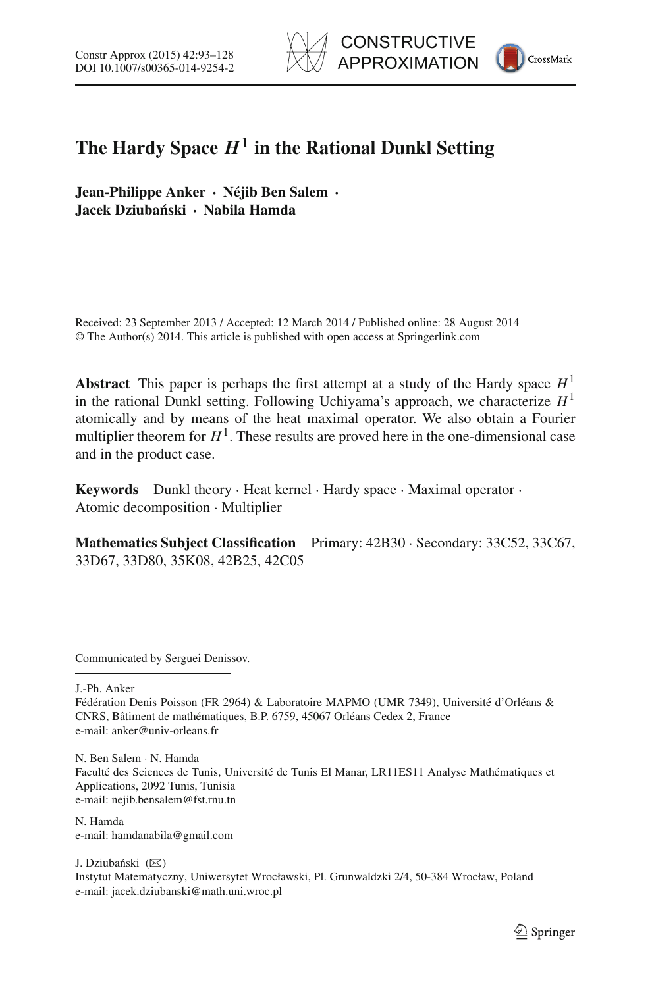



# **The Hardy Space**  $H^1$  in the Rational Dunkl Setting

**Jean-Philippe Anker · Néjib Ben Salem · Jacek Dziuba´nski · Nabila Hamda**

Received: 23 September 2013 / Accepted: 12 March 2014 / Published online: 28 August 2014 © The Author(s) 2014. This article is published with open access at Springerlink.com

**Abstract** This paper is perhaps the first attempt at a study of the Hardy space  $H<sup>1</sup>$ in the rational Dunkl setting. Following Uchiyama's approach, we characterize  $H<sup>1</sup>$ atomically and by means of the heat maximal operator. We also obtain a Fourier multiplier theorem for  $H^1$ . These results are proved here in the one-dimensional case and in the product case.

**Keywords** Dunkl theory · Heat kernel · Hardy space · Maximal operator · Atomic decomposition · Multiplier

**Mathematics Subject Classification** Primary: 42B30 · Secondary: 33C52, 33C67, 33D67, 33D80, 35K08, 42B25, 42C05

Communicated by Serguei Denissov.

J.-Ph. Anker

Fédération Denis Poisson (FR 2964) & Laboratoire MAPMO (UMR 7349), Université d'Orléans & CNRS, Bâtiment de mathématiques, B.P. 6759, 45067 Orléans Cedex 2, France e-mail: anker@univ-orleans.fr

N. Ben Salem · N. Hamda Faculté des Sciences de Tunis, Université de Tunis El Manar, LR11ES11 Analyse Mathématiques et Applications, 2092 Tunis, Tunisia e-mail: nejib.bensalem@fst.rnu.tn

N. Hamda e-mail: hamdanabila@gmail.com

J. Dziubański  $(\boxtimes)$ Instytut Matematyczny, Uniwersytet Wrocławski, Pl. Grunwaldzki 2/4, 50-384 Wrocław, Poland e-mail: jacek.dziubanski@math.uni.wroc.pl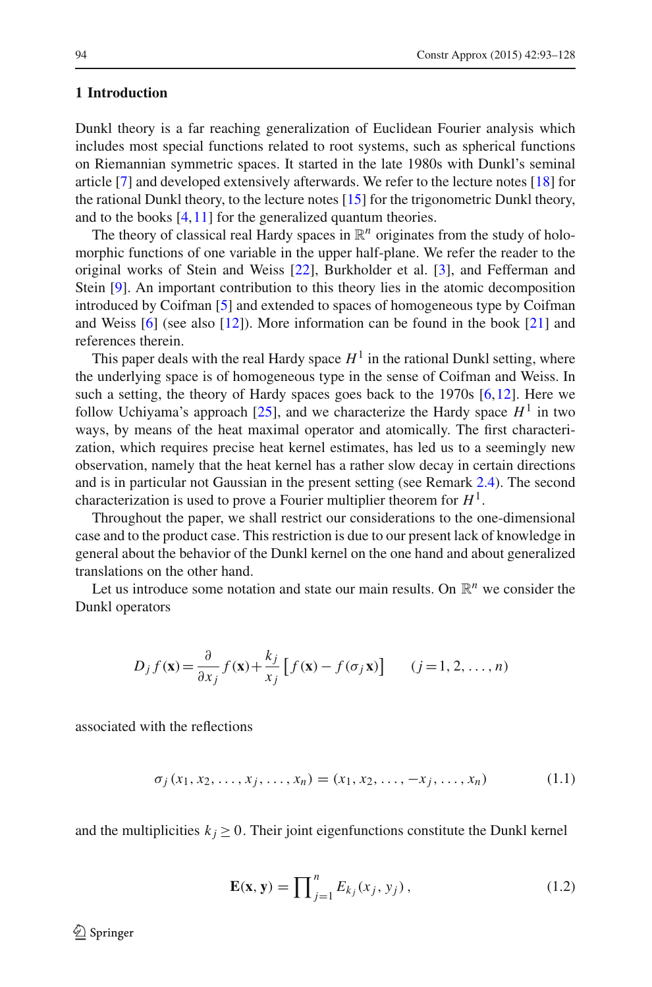# **1 Introduction**

Dunkl theory is a far reaching generalization of Euclidean Fourier analysis which includes most special functions related to root systems, such as spherical functions on Riemannian symmetric spaces. It started in the late 1980s with Dunkl's seminal article [\[7](#page-35-0)] and developed extensively afterwards. We refer to the lecture notes [\[18\]](#page-35-1) for the rational Dunkl theory, to the lecture notes [\[15\]](#page-35-2) for the trigonometric Dunkl theory, and to the books [\[4](#page-34-0)[,11](#page-35-3)] for the generalized quantum theories.

The theory of classical real Hardy spaces in  $\mathbb{R}^n$  originates from the study of holomorphic functions of one variable in the upper half-plane. We refer the reader to the original works of Stein and Weiss [\[22](#page-35-4)], Burkholder et al. [\[3\]](#page-34-1), and Fefferman and Stein [\[9\]](#page-35-5). An important contribution to this theory lies in the atomic decomposition introduced by Coifman [\[5\]](#page-34-2) and extended to spaces of homogeneous type by Coifman and Weiss [\[6](#page-34-3)] (see also [\[12](#page-35-6)]). More information can be found in the book [\[21](#page-35-7)] and references therein.

This paper deals with the real Hardy space  $H<sup>1</sup>$  in the rational Dunkl setting, where the underlying space is of homogeneous type in the sense of Coifman and Weiss. In such a setting, the theory of Hardy spaces goes back to the 1970s [\[6](#page-34-3),[12\]](#page-35-6). Here we follow Uchiyama's approach  $[25]$ , and we characterize the Hardy space  $H^1$  in two ways, by means of the heat maximal operator and atomically. The first characterization, which requires precise heat kernel estimates, has led us to a seemingly new observation, namely that the heat kernel has a rather slow decay in certain directions and is in particular not Gaussian in the present setting (see Remark [2.4\)](#page-7-0). The second characterization is used to prove a Fourier multiplier theorem for  $H<sup>1</sup>$ .

Throughout the paper, we shall restrict our considerations to the one-dimensional case and to the product case. This restriction is due to our present lack of knowledge in general about the behavior of the Dunkl kernel on the one hand and about generalized translations on the other hand.

Let us introduce some notation and state our main results. On  $\mathbb{R}^n$  we consider the Dunkl operators

$$
D_j f(\mathbf{x}) = \frac{\partial}{\partial x_j} f(\mathbf{x}) + \frac{k_j}{x_j} \left[ f(\mathbf{x}) - f(\sigma_j \mathbf{x}) \right] \qquad (j = 1, 2, \dots, n)
$$

<span id="page-1-1"></span>associated with the reflections

$$
\sigma_j(x_1, x_2, \dots, x_j, \dots, x_n) = (x_1, x_2, \dots, -x_j, \dots, x_n)
$$
 (1.1)

<span id="page-1-0"></span>and the multiplicities  $k_j \geq 0$ . Their joint eigenfunctions constitute the Dunkl kernel

$$
\mathbf{E}(\mathbf{x}, \mathbf{y}) = \prod_{j=1}^{n} E_{kj}(x_j, y_j), \qquad (1.2)
$$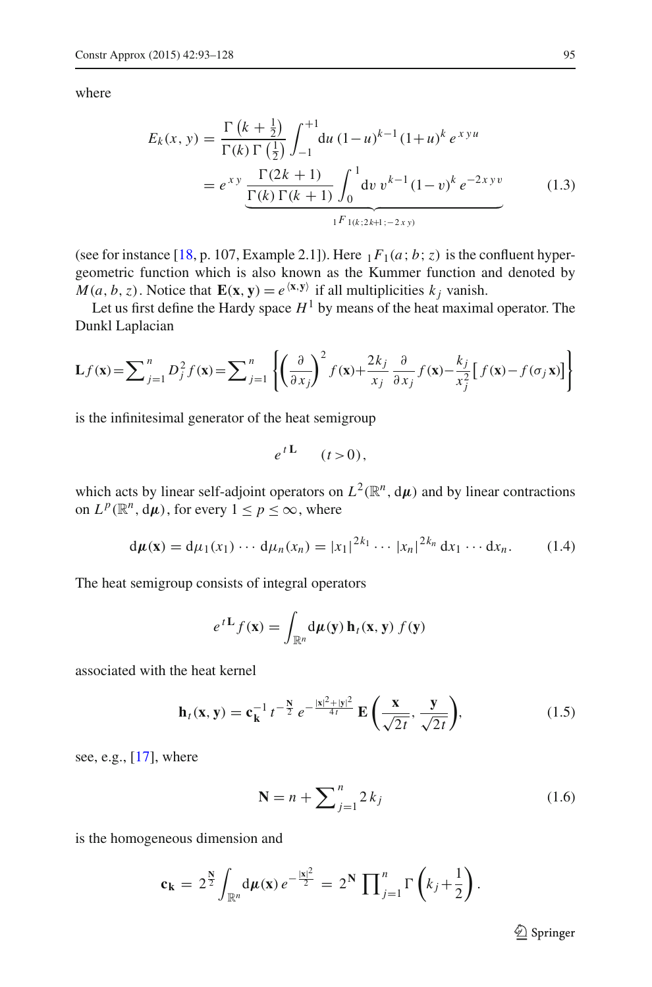<span id="page-2-0"></span>where

$$
E_k(x, y) = \frac{\Gamma(k + \frac{1}{2})}{\Gamma(k) \Gamma(\frac{1}{2})} \int_{-1}^{+1} du (1 - u)^{k-1} (1 + u)^k e^{xyu}
$$
  
=  $e^{xy} \frac{\Gamma(2k + 1)}{\Gamma(k) \Gamma(k + 1)} \int_0^1 dv v^{k-1} (1 - v)^k e^{-2xyv}$  (1.3)

(see for instance [\[18](#page-35-1), p. 107, Example 2.1]). Here  $_1F_1(a; b; z)$  is the confluent hypergeometric function which is also known as the Kummer function and denoted by  $M(a, b, z)$ . Notice that  $\mathbf{E}(\mathbf{x}, \mathbf{y}) = e^{\langle \mathbf{x}, \mathbf{y} \rangle}$  if all multiplicities  $k_i$  vanish.

Let us first define the Hardy space  $H^1$  by means of the heat maximal operator. The Dunkl Laplacian

$$
\mathbf{L}f(\mathbf{x}) = \sum_{j=1}^{n} D_j^2 f(\mathbf{x}) = \sum_{j=1}^{n} \left\{ \left( \frac{\partial}{\partial x_j} \right)^2 f(\mathbf{x}) + \frac{2k_j}{x_j} \frac{\partial}{\partial x_j} f(\mathbf{x}) - \frac{k_j}{x_j^2} \left[ f(\mathbf{x}) - f(\sigma_j \mathbf{x}) \right] \right\}
$$

is the infinitesimal generator of the heat semigroup

$$
e^{t\mathbf{L}} \quad (t>0),
$$

which acts by linear self-adjoint operators on  $L^2(\mathbb{R}^n, d\mu)$  and by linear contractions on  $L^p(\mathbb{R}^n, d\mu)$ , for every  $1 \leq p \leq \infty$ , where

$$
d\mu(\mathbf{x}) = d\mu_1(x_1) \cdots d\mu_n(x_n) = |x_1|^{2k_1} \cdots |x_n|^{2k_n} dx_1 \cdots dx_n.
$$
 (1.4)

<span id="page-2-2"></span>The heat semigroup consists of integral operators

$$
e^{tL} f(\mathbf{x}) = \int_{\mathbb{R}^n} d\mu(\mathbf{y}) \, \mathbf{h}_t(\mathbf{x}, \mathbf{y}) \, f(\mathbf{y})
$$

<span id="page-2-1"></span>associated with the heat kernel

$$
\mathbf{h}_t(\mathbf{x}, \mathbf{y}) = \mathbf{c}_{\mathbf{k}}^{-1} t^{-\frac{\mathbf{N}}{2}} e^{-\frac{|\mathbf{x}|^2 + |\mathbf{y}|^2}{4t}} \mathbf{E}\left(\frac{\mathbf{x}}{\sqrt{2t}}, \frac{\mathbf{y}}{\sqrt{2t}}\right),\tag{1.5}
$$

see, e.g., [\[17](#page-35-9)], where

$$
N = n + \sum_{j=1}^{n} 2k_j
$$
 (1.6)

is the homogeneous dimension and

<span id="page-2-3"></span>
$$
\mathbf{c}_{\mathbf{k}} = 2^{\frac{\mathbf{N}}{2}} \int_{\mathbb{R}^n} d\mu(\mathbf{x}) e^{-\frac{|\mathbf{x}|^2}{2}} = 2^{\mathbf{N}} \prod_{j=1}^n \Gamma\left(k_j + \frac{1}{2}\right).
$$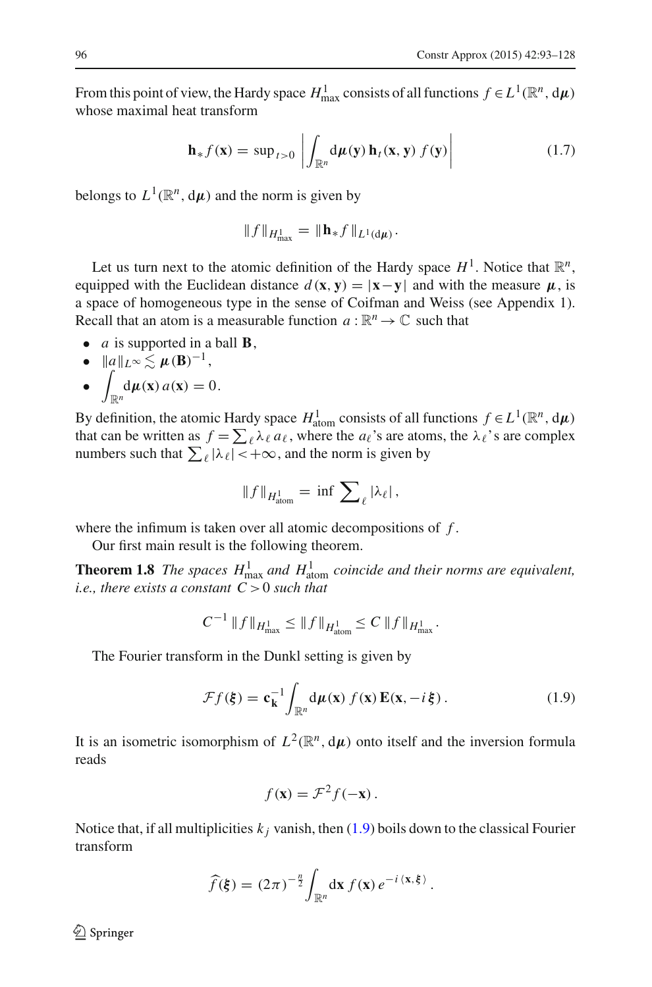From this point of view, the Hardy space  $H_{\text{max}}^1$  consists of all functions  $f \in L^1(\mathbb{R}^n, d\mu)$ whose maximal heat transform

$$
\mathbf{h}_{*}f(\mathbf{x}) = \sup_{t>0} \left| \int_{\mathbb{R}^n} d\mu(\mathbf{y}) \, \mathbf{h}_t(\mathbf{x}, \mathbf{y}) \, f(\mathbf{y}) \right| \tag{1.7}
$$

<span id="page-3-2"></span>belongs to  $L^1(\mathbb{R}^n, d\mu)$  and the norm is given by

$$
\|f\|_{H^1_{\max}} = \|\mathbf{h}_* f\|_{L^1(\mathrm{d}\mu)}.
$$

Let us turn next to the atomic definition of the Hardy space  $H^1$ . Notice that  $\mathbb{R}^n$ , equipped with the Euclidean distance  $d(\mathbf{x}, \mathbf{y}) = |\mathbf{x} - \mathbf{y}|$  and with the measure  $\mu$ , is a space of homogeneous type in the sense of Coifman and Weiss (see Appendix 1). Recall that an atom is a measurable function  $a : \mathbb{R}^n \to \mathbb{C}$  such that

- *a* is supported in a ball **B**,
- $\|\mathbf{a}\|_{L^{\infty}} \lesssim \mu(\mathbf{B})^{-1},$
- $\overline{\phantom{a}}$  $\frac{d\mu(\mathbf{x})}{dt^n}$  *a*(**x**) = 0.

By definition, the atomic Hardy space  $H_{\text{atom}}^1$  consists of all functions  $f \in L^1(\mathbb{R}^n, d\mu)$ that can be written as  $f = \sum_{\ell} \lambda_{\ell} a_{\ell}$ , where the  $a_{\ell}$ 's are atoms, the  $\lambda_{\ell}$ 's are complex numbers such that  $\sum_{\ell} |\lambda_{\ell}| < +\infty$ , and the norm is given by

<span id="page-3-1"></span>
$$
\|f\|_{H^1_{\text{atom}}} = \inf \sum_{\ell} |\lambda_{\ell}|,
$$

where the infimum is taken over all atomic decompositions of *f* .

Our first main result is the following theorem.

**Theorem 1.8** *The spaces*  $H_{\text{max}}^1$  *and*  $H_{\text{atom}}^1$  *coincide and their norms are equivalent, i.e., there exists a constant C* >0 *such that*

$$
C^{-1} \|f\|_{H^1_{\max}} \le \|f\|_{H^1_{\text{atom}}} \le C \|f\|_{H^1_{\max}}.
$$

<span id="page-3-0"></span>The Fourier transform in the Dunkl setting is given by

$$
\mathcal{F}f(\xi) = \mathbf{c}_{\mathbf{k}}^{-1} \int_{\mathbb{R}^n} d\mu(\mathbf{x}) f(\mathbf{x}) \mathbf{E}(\mathbf{x}, -i\xi).
$$
 (1.9)

It is an isometric isomorphism of  $L^2(\mathbb{R}^n, d\mu)$  onto itself and the inversion formula reads

$$
f(\mathbf{x}) = \mathcal{F}^2 f(-\mathbf{x}).
$$

Notice that, if all multiplicities  $k_j$  vanish, then [\(1.9\)](#page-3-0) boils down to the classical Fourier transform

$$
\widehat{f}(\boldsymbol{\xi}) = (2\pi)^{-\frac{n}{2}} \int_{\mathbb{R}^n} d\mathbf{x} f(\mathbf{x}) e^{-i \langle \mathbf{x}, \boldsymbol{\xi} \rangle}.
$$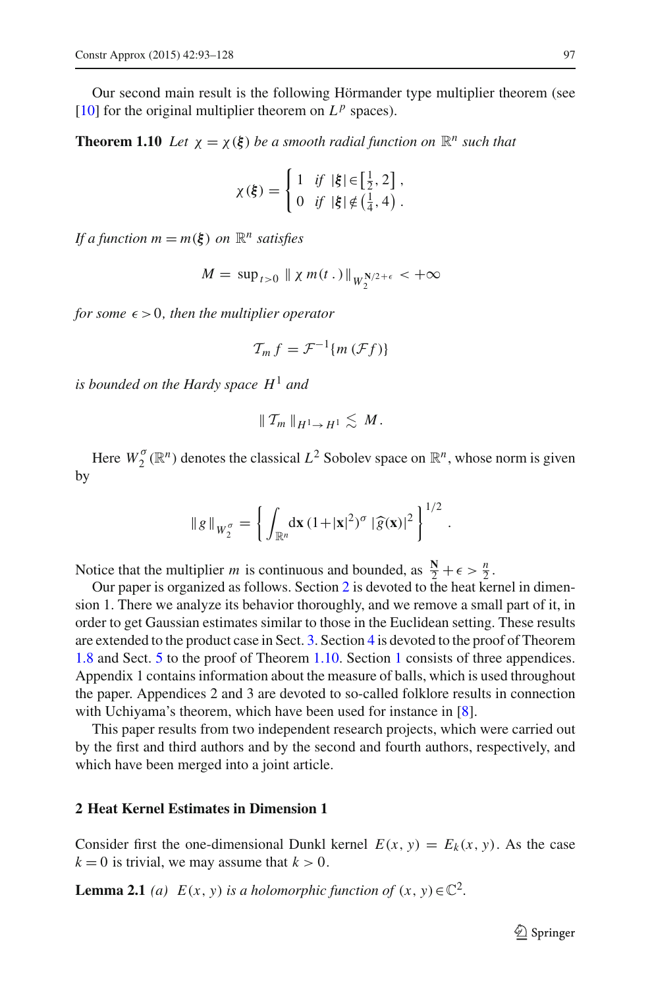<span id="page-4-1"></span>Our second main result is the following Hörmander type multiplier theorem (see  $[10]$  $[10]$  for the original multiplier theorem on  $L^p$  spaces).

**Theorem 1.10** *Let*  $\chi = \chi(\xi)$  *be a smooth radial function on*  $\mathbb{R}^n$  *such that* 

$$
\chi(\xi) = \begin{cases} 1 & \text{if } |\xi| \in \left[\frac{1}{2}, 2\right], \\ 0 & \text{if } |\xi| \notin \left(\frac{1}{4}, 4\right). \end{cases}
$$

*If a function*  $m = m(\xi)$  *on*  $\mathbb{R}^n$  *satisfies* 

$$
M = \sup_{t>0} \parallel \chi m(t.) \parallel_{W_2^{N/2+\epsilon}} < +\infty
$$

*for some*  $\epsilon > 0$ *, then the multiplier operator* 

$$
\mathcal{T}_m f = \mathcal{F}^{-1}\{m(\mathcal{F}f)\}\
$$

*is bounded on the Hardy space H*<sup>1</sup> *and*

$$
\|\mathcal{T}_m\|_{H^1\to H^1}\lesssim M.
$$

Here  $W_2^{\sigma}(\mathbb{R}^n)$  denotes the classical  $L^2$  Sobolev space on  $\mathbb{R}^n$ , whose norm is given by

$$
\|g\|_{W_2^{\sigma}} = \left\{ \int_{\mathbb{R}^n} d\mathbf{x} \, (1+|\mathbf{x}|^2)^{\sigma} \, |\widehat{g}(\mathbf{x})|^2 \right\}^{1/2}
$$

.

Notice that the multiplier *m* is continuous and bounded, as  $\frac{N}{2} + \epsilon > \frac{n}{2}$ .

Our paper is organized as follows. Section [2](#page-4-0) is devoted to the heat kernel in dimension 1. There we analyze its behavior thoroughly, and we remove a small part of it, in order to get Gaussian estimates similar to those in the Euclidean setting. These results are extended to the product case in Sect. [3.](#page-15-0) Section [4](#page-19-0) is devoted to the proof of Theorem [1.8](#page-3-1) and Sect. [5](#page-21-0) to the proof of Theorem [1.10.](#page-4-1) Section [1](#page-28-0) consists of three appendices. Appendix 1 contains information about the measure of balls, which is used throughout the paper. Appendices 2 and 3 are devoted to so-called folklore results in connection with Uchiyama's theorem, which have been used for instance in [\[8](#page-35-11)].

This paper results from two independent research projects, which were carried out by the first and third authors and by the second and fourth authors, respectively, and which have been merged into a joint article.

# <span id="page-4-0"></span>**2 Heat Kernel Estimates in Dimension 1**

<span id="page-4-2"></span>Consider first the one-dimensional Dunkl kernel  $E(x, y) = E_k(x, y)$ . As the case  $k = 0$  is trivial, we may assume that  $k > 0$ .

**Lemma 2.1** *(a)*  $E(x, y)$  *is a holomorphic function of*  $(x, y) \in \mathbb{C}^2$ .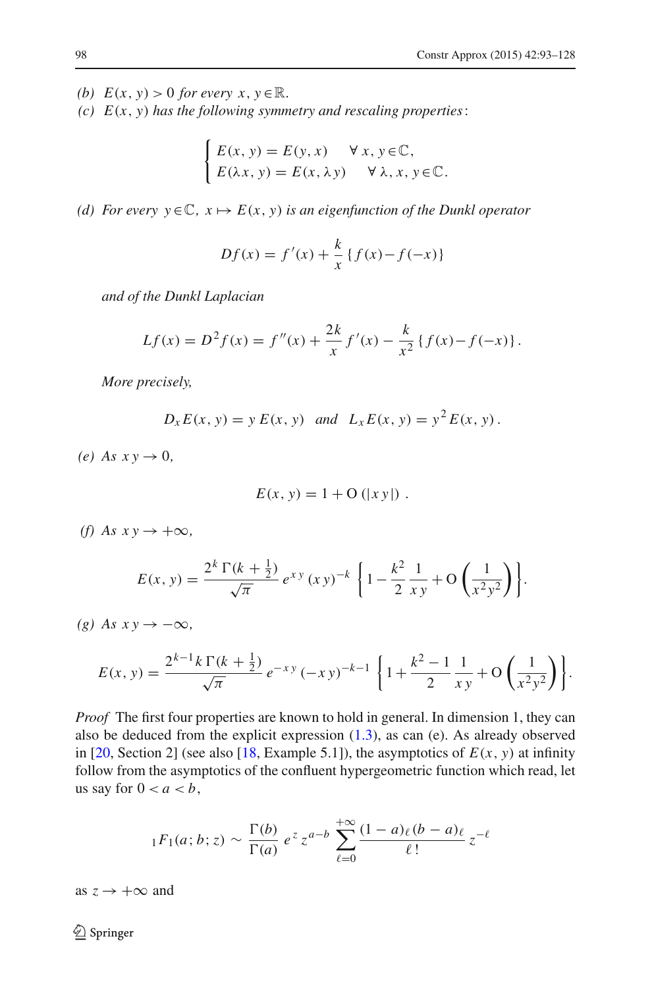- *(b)*  $E(x, y) > 0$  *for every*  $x, y \in \mathbb{R}$ .
- *(c) E*(*x*, *y*) *has the following symmetry and rescaling properties*:

$$
\begin{cases} E(x, y) = E(y, x) & \forall x, y \in \mathbb{C}, \\ E(\lambda x, y) = E(x, \lambda y) & \forall \lambda, x, y \in \mathbb{C}. \end{cases}
$$

*(d)* For every  $y \in \mathbb{C}$ ,  $x \mapsto E(x, y)$  *is an eigenfunction of the Dunkl operator* 

$$
Df(x) = f'(x) + \frac{k}{x} \{ f(x) - f(-x) \}
$$

*and of the Dunkl Laplacian*

$$
Lf(x) = D2 f(x) = f''(x) + \frac{2k}{x} f'(x) - \frac{k}{x^{2}} \{f(x) - f(-x)\}.
$$

*More precisely,*

$$
D_x E(x, y) = y E(x, y)
$$
 and  $L_x E(x, y) = y^2 E(x, y)$ .

 $(e)$  *As xy*  $\rightarrow$  0*,* 

$$
E(x, y) = 1 + \mathcal{O}(|xy|) .
$$

*(f)* As  $x y \rightarrow +\infty$ *,* 

$$
E(x, y) = \frac{2^{k} \Gamma(k + \frac{1}{2})}{\sqrt{\pi}} e^{xy} (xy)^{-k} \left\{ 1 - \frac{k^{2}}{2} \frac{1}{xy} + O\left(\frac{1}{x^{2}y^{2}}\right) \right\}.
$$

*(g)* As  $x y \rightarrow -\infty$ *,* 

$$
E(x, y) = \frac{2^{k-1}k\Gamma(k+\frac{1}{2})}{\sqrt{\pi}}e^{-xy}(-xy)^{-k-1}\left\{1+\frac{k^2-1}{2}\frac{1}{xy}+O\left(\frac{1}{x^2y^2}\right)\right\}.
$$

*Proof* The first four properties are known to hold in general. In dimension 1, they can also be deduced from the explicit expression  $(1.3)$ , as can  $(e)$ . As already observed in [\[20](#page-35-12), Section 2] (see also [\[18](#page-35-1), Example 5.1]), the asymptotics of  $E(x, y)$  at infinity follow from the asymptotics of the confluent hypergeometric function which read, let us say for  $0 < a < b$ ,

$$
{}_1F_1(a;b;z) \sim \frac{\Gamma(b)}{\Gamma(a)} e^z z^{a-b} \sum_{\ell=0}^{+\infty} \frac{(1-a)_\ell (b-a)_\ell}{\ell!} z^{-\ell}
$$

as  $z \rightarrow +\infty$  and

 $\bigcircled{2}$  Springer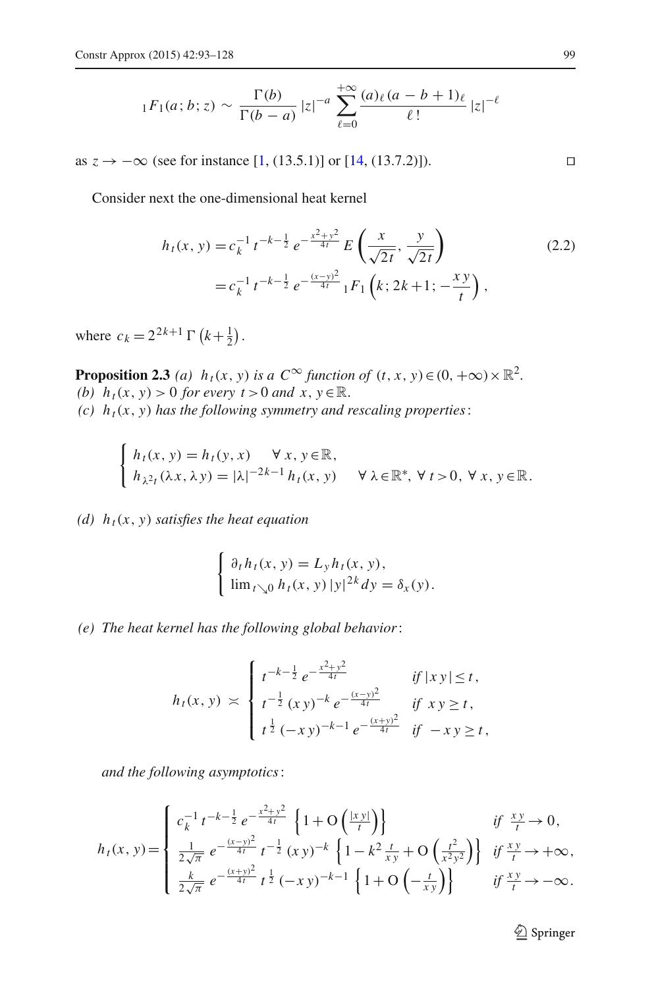$$
{}_{1}F_{1}(a;b;z) \sim \frac{\Gamma(b)}{\Gamma(b-a)}|z|^{-a} \sum_{\ell=0}^{+\infty} \frac{(a)_{\ell}(a-b+1)_{\ell}}{\ell!} |z|^{-\ell}
$$

as  $z \to -\infty$  (see for instance [\[1](#page-34-4), (13.5.1)] or [\[14](#page-35-13), (13.7.2)]).

<span id="page-6-0"></span>Consider next the one-dimensional heat kernel

$$
h_t(x, y) = c_k^{-1} t^{-k - \frac{1}{2}} e^{-\frac{x^2 + y^2}{4t}} E\left(\frac{x}{\sqrt{2t}}, \frac{y}{\sqrt{2t}}\right)
$$
  
=  $c_k^{-1} t^{-k - \frac{1}{2}} e^{-\frac{(x - y)^2}{4t}} {}_1F_1\left(k; 2k + 1; -\frac{xy}{t}\right)$ , (2.2)

<span id="page-6-1"></span>where  $c_k = 2^{2k+1} \Gamma(k + \frac{1}{2})$ .

 $\overline{\phantom{a}}$ 

**Proposition 2.3** *(a)*  $h_t(x, y)$  *is a*  $C^\infty$  *function of*  $(t, x, y) \in (0, +\infty) \times \mathbb{R}^2$ . *(b)*  $h_t(x, y) > 0$  *for every t* > 0 *and*  $x, y \in \mathbb{R}$ . *(c)*  $h_t(x, y)$  *has the following symmetry and rescaling properties:* 

$$
\begin{cases}\nh_t(x, y) = h_t(y, x) & \forall x, y \in \mathbb{R}, \\
h_{\lambda^2 t}(\lambda x, \lambda y) = |\lambda|^{-2k-1} h_t(x, y) & \forall \lambda \in \mathbb{R}^*, \forall t > 0, \forall x, y \in \mathbb{R}.\n\end{cases}
$$

*(d)*  $h_t(x, y)$  *satisfies the heat equation* 

$$
\begin{cases} \partial_t h_t(x, y) = L_y h_t(x, y), \\ \lim_{t \searrow 0} h_t(x, y) |y|^{2k} dy = \delta_x(y). \end{cases}
$$

*(e) The heat kernel has the following global behavior*:

$$
h_t(x, y) \asymp \begin{cases} t^{-k-\frac{1}{2}} e^{-\frac{x^2+y^2}{4t}} & \text{if } |xy| \le t, \\ t^{-\frac{1}{2}} (xy)^{-k} e^{-\frac{(x-y)^2}{4t}} & \text{if } xy \ge t, \\ t^{\frac{1}{2}} (-xy)^{-k-1} e^{-\frac{(x+y)^2}{4t}} & \text{if } -xy \ge t, \end{cases}
$$

*and the following asymptotics*:

$$
h_t(x, y) = \begin{cases} c_k^{-1} t^{-k - \frac{1}{2}} e^{-\frac{x^2 + y^2}{4t}} \left\{ 1 + O\left(\frac{|xy|}{t}\right) \right\} & \text{if } \frac{xy}{t} \to 0, \\ \frac{1}{2\sqrt{\pi}} e^{-\frac{(x - y)^2}{4t}} t^{-\frac{1}{2}} (xy)^{-k} \left\{ 1 - k^2 \frac{t}{xy} + O\left(\frac{t^2}{x^2 y^2}\right) \right\} & \text{if } \frac{xy}{t} \to +\infty, \\ \frac{k}{2\sqrt{\pi}} e^{-\frac{(x + y)^2}{4t}} t^{\frac{1}{2}} (-xy)^{-k-1} \left\{ 1 + O\left(-\frac{t}{xy}\right) \right\} & \text{if } \frac{xy}{t} \to -\infty. \end{cases}
$$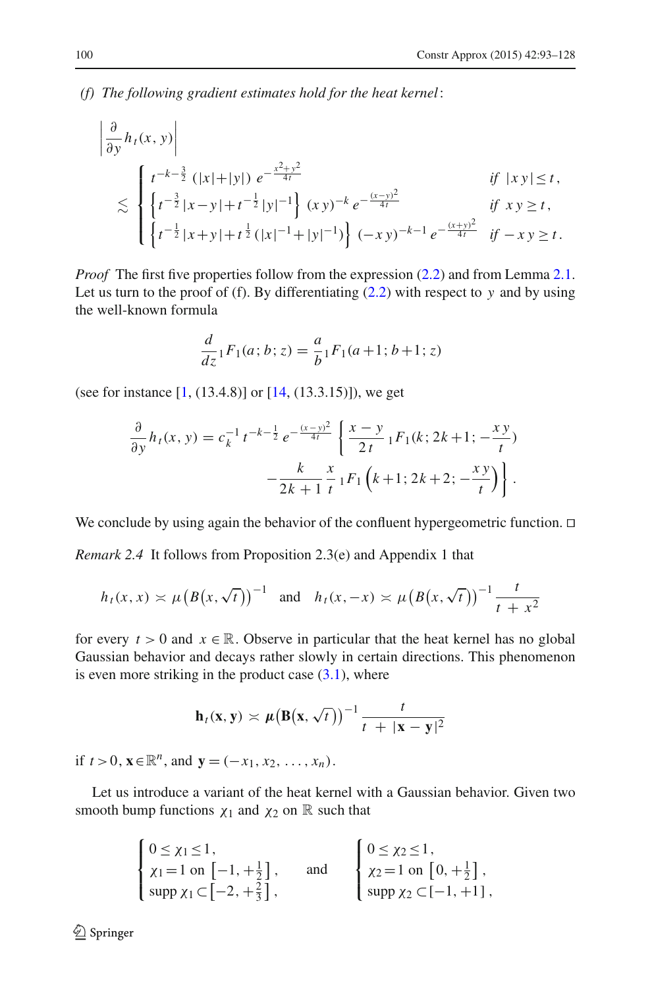*(f) The following gradient estimates hold for the heat kernel*:

$$
\begin{aligned}\n\left| \frac{\partial}{\partial y} h_t(x, y) \right| \\
&\lesssim \begin{cases}\n t^{-k - \frac{3}{2}} \left( |x| + |y| \right) e^{-\frac{x^2 + y^2}{4t}} & \text{if } |xy| \le t, \\
 \left\{ t^{-\frac{3}{2}} |x - y| + t^{-\frac{1}{2}} |y|^{-1} \right\} (xy)^{-k} e^{-\frac{(x - y)^2}{4t}} & \text{if } xy \ge t, \\
 \left\{ t^{-\frac{1}{2}} |x + y| + t^{\frac{1}{2}} (|x|^{-1} + |y|^{-1}) \right\} (-xy)^{-k-1} e^{-\frac{(x + y)^2}{4t}} & \text{if } -xy \ge t.\n \end{cases}\n\end{aligned}
$$

*Proof* The first five properties follow from the expression [\(2.2\)](#page-6-0) and from Lemma [2.1.](#page-4-2) Let us turn to the proof of (f). By differentiating  $(2.2)$  with respect to *y* and by using the well-known formula

$$
\frac{d}{dz} {}_1F_1(a;b;z) = \frac{a}{b} {}_1F_1(a+1;b+1;z)
$$

(see for instance [\[1,](#page-34-4) (13.4.8)] or [\[14](#page-35-13), (13.3.15)]), we get

$$
\frac{\partial}{\partial y} h_t(x, y) = c_k^{-1} t^{-k - \frac{1}{2}} e^{-\frac{(x - y)^2}{4t}} \left\{ \frac{x - y}{2t} \right\} IF_1(k; 2k + 1; -\frac{xy}{t})
$$

$$
-\frac{k}{2k + 1} \frac{x}{t} IF_1(k + 1; 2k + 2; -\frac{xy}{t}) \Bigg\}.
$$

<span id="page-7-0"></span>We conclude by using again the behavior of the confluent hypergeometric function.  $\Box$ 

*Remark 2.4* It follows from Proposition 2.3(e) and Appendix 1 that

$$
h_t(x, x) \asymp \mu (B(x, \sqrt{t}))^{-1}
$$
 and  $h_t(x, -x) \asymp \mu (B(x, \sqrt{t}))^{-1} \frac{t}{t + x^2}$ 

for every  $t > 0$  and  $x \in \mathbb{R}$ . Observe in particular that the heat kernel has no global Gaussian behavior and decays rather slowly in certain directions. This phenomenon is even more striking in the product case  $(3.1)$ , where

$$
\mathbf{h}_t(\mathbf{x}, \mathbf{y}) \asymp \mu \big( \mathbf{B}(\mathbf{x}, \sqrt{t}) \big)^{-1} \frac{t}{t + |\mathbf{x} - \mathbf{y}|^2}
$$

if  $t > 0$ ,  $\mathbf{x} \in \mathbb{R}^n$ , and  $\mathbf{y} = (-x_1, x_2, \ldots, x_n)$ .

Let us introduce a variant of the heat kernel with a Gaussian behavior. Given two smooth bump functions  $\chi_1$  and  $\chi_2$  on R such that

$$
\begin{cases}\n0 \le \chi_1 \le 1, \\
\chi_1 = 1 \text{ on } [-1, +\frac{1}{2}], \\
\sup p \chi_1 \subset [-2, +\frac{2}{3}],\n\end{cases}\n\text{ and }\n\begin{cases}\n0 \le \chi_2 \le 1, \\
\chi_2 = 1 \text{ on } [0, +\frac{1}{2}], \\
\sup p \chi_2 \subset [-1, +1],\n\end{cases}
$$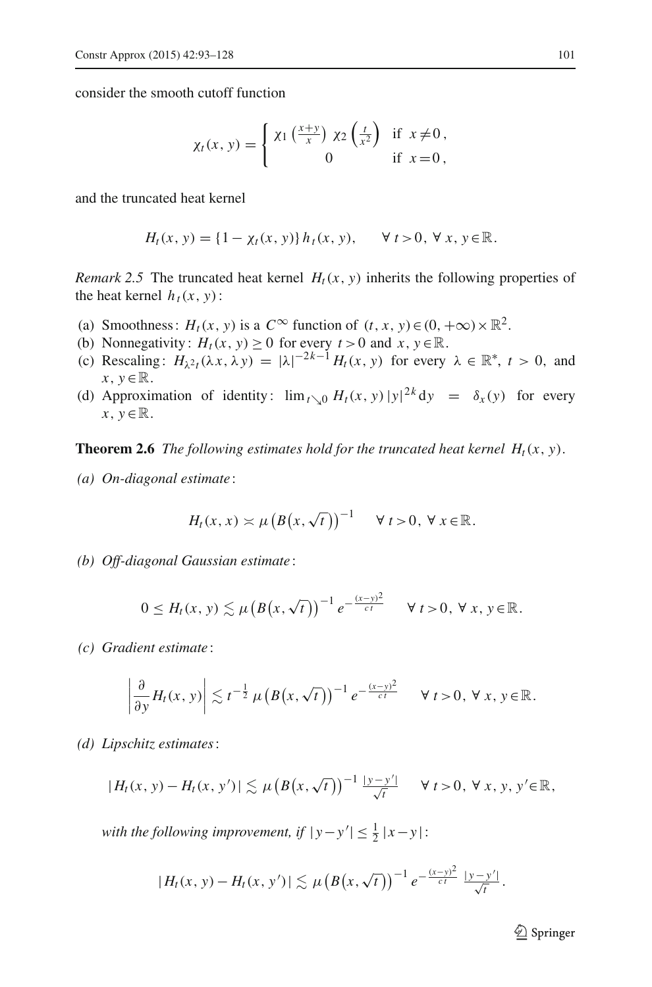consider the smooth cutoff function

$$
\chi_t(x, y) = \begin{cases} \chi_1\left(\frac{x+y}{x}\right) \chi_2\left(\frac{t}{x^2}\right) & \text{if } x \neq 0, \\ 0 & \text{if } x = 0, \end{cases}
$$

and the truncated heat kernel

$$
H_t(x, y) = \{1 - \chi_t(x, y)\} h_t(x, y), \quad \forall t > 0, \forall x, y \in \mathbb{R}.
$$

*Remark* 2.5 The truncated heat kernel  $H_t(x, y)$  inherits the following properties of the heat kernel  $h_t(x, y)$ :

- (a) Smoothness:  $H_t(x, y)$  is a  $C^\infty$  function of  $(t, x, y) \in (0, +\infty) \times \mathbb{R}^2$ .
- (b) Nonnegativity:  $H_t(x, y) \ge 0$  for every  $t > 0$  and  $x, y \in \mathbb{R}$ .
- (c) Rescaling:  $H_{\lambda^2}(\lambda x, \lambda y) = |\lambda|^{-2k-1} H_t(x, y)$  for every  $\lambda \in \mathbb{R}^*, t > 0$ , and  $x, y \in \mathbb{R}$ .
- (d) Approximation of identity:  $\lim_{t \searrow 0} H_t(x, y) |y|^{2k} dy = \delta_x(y)$  for every  $x, y \in \mathbb{R}$ .

<span id="page-8-0"></span>**Theorem 2.6** *The following estimates hold for the truncated heat kernel*  $H_t(x, y)$ *.* 

*(a) On-diagonal estimate* :

$$
H_t(x, x) \asymp \mu \left( B\big(x, \sqrt{t}\big)\right)^{-1} \quad \forall \ t > 0, \ \forall \ x \in \mathbb{R}.
$$

*(b) Off-diagonal Gaussian estimate* :

$$
0\leq H_t(x, y) \lesssim \mu\big(B\big(x, \sqrt{t}\big)\big)^{-1} e^{-\frac{(x-y)^2}{ct}} \quad \forall t>0, \forall x, y \in \mathbb{R}.
$$

*(c) Gradient estimate* :

$$
\left|\frac{\partial}{\partial y}H_t(x, y)\right|\lesssim t^{-\frac{1}{2}}\mu\left(B\big(x, \sqrt{t}\big)\right)^{-1}e^{-\frac{(x-y)^2}{ct}} \quad \forall \ t>0, \ \forall \ x, y \in \mathbb{R}.
$$

*(d) Lipschitz estimates*:

$$
|H_t(x, y) - H_t(x, y')| \lesssim \mu \left(B\big(x, \sqrt{t}\big)\right)^{-1} \frac{|y - y'|}{\sqrt{t}} \quad \forall \ t > 0, \ \forall \ x, y, y' \in \mathbb{R},
$$

*with the following improvement, if*  $|y-y'| \leq \frac{1}{2} |x-y|$ :

$$
|H_t(x, y) - H_t(x, y')| \lesssim \mu (B(x, \sqrt{t}))^{-1} e^{-\frac{(x-y)^2}{ct}} \frac{|y-y'|}{\sqrt{t}}.
$$

 $\mathcal{D}$  Springer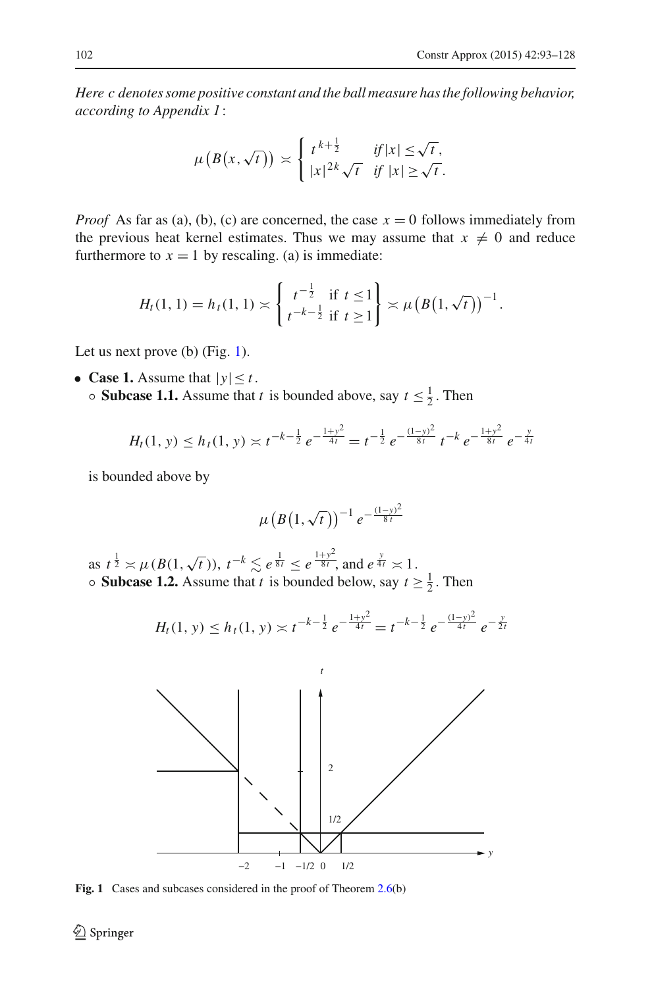*Here c denotes some positive constant and the ball measure has the following behavior, according to Appendix 1*:

$$
\mu\left(B\big(x,\sqrt{t}\big)\right) \asymp \begin{cases} t^{k+\frac{1}{2}} & \text{if } |x| \le \sqrt{t} \\ |x|^{2k}\sqrt{t} & \text{if } |x| \ge \sqrt{t} \end{cases}
$$

*Proof* As far as (a), (b), (c) are concerned, the case  $x = 0$  follows immediately from the previous heat kernel estimates. Thus we may assume that  $x \neq 0$  and reduce furthermore to  $x = 1$  by rescaling. (a) is immediate:

$$
H_t(1,1) = h_t(1,1) \asymp \left\{ \begin{array}{ll} t^{-\frac{1}{2}} & \text{if } t \leq 1 \\ t^{-k-\frac{1}{2}} & \text{if } t \geq 1 \end{array} \right\} \asymp \mu \left( B\big(1,\sqrt{t}\big)\right)^{-1}.
$$

Let us next prove  $(b)$  (Fig. [1\)](#page-9-0).

- **Case 1.** Assume that  $|y| \le t$ .
	- **Subcase 1.1.** Assume that *t* is bounded above, say  $t \leq \frac{1}{2}$ . Then

$$
H_t(1, y) \leq h_t(1, y) \asymp t^{-k - \frac{1}{2}} e^{-\frac{1 + y^2}{4t}} = t^{-\frac{1}{2}} e^{-\frac{(1 - y)^2}{8t}} t^{-k} e^{-\frac{1 + y^2}{8t}} e^{-\frac{y}{4t}}
$$

is bounded above by

$$
\mu\left(B\left(1,\sqrt{t}\right)\right)^{-1}e^{-\frac{(1-y)^2}{8t}}
$$

as  $t^{\frac{1}{2}} \approx \mu(B(1,\sqrt{t})), t^{-k} \lesssim e^{\frac{1}{8t}} \le e^{\frac{1+y^2}{8t}}$ , and  $e^{\frac{y}{4t}} \approx 1$ . • **Subcase 1.2.** Assume that *t* is bounded below, say  $t \ge \frac{1}{2}$ . Then

$$
H_t(1, y) \le h_t(1, y) \asymp t^{-k-\frac{1}{2}} e^{-\frac{1+y^2}{4t}} = t^{-k-\frac{1}{2}} e^{-\frac{(1-y)^2}{4t}} e^{-\frac{y}{2t}}
$$



<span id="page-9-0"></span>**Fig. 1** Cases and subcases considered in the proof of Theorem [2.6\(](#page-8-0)b)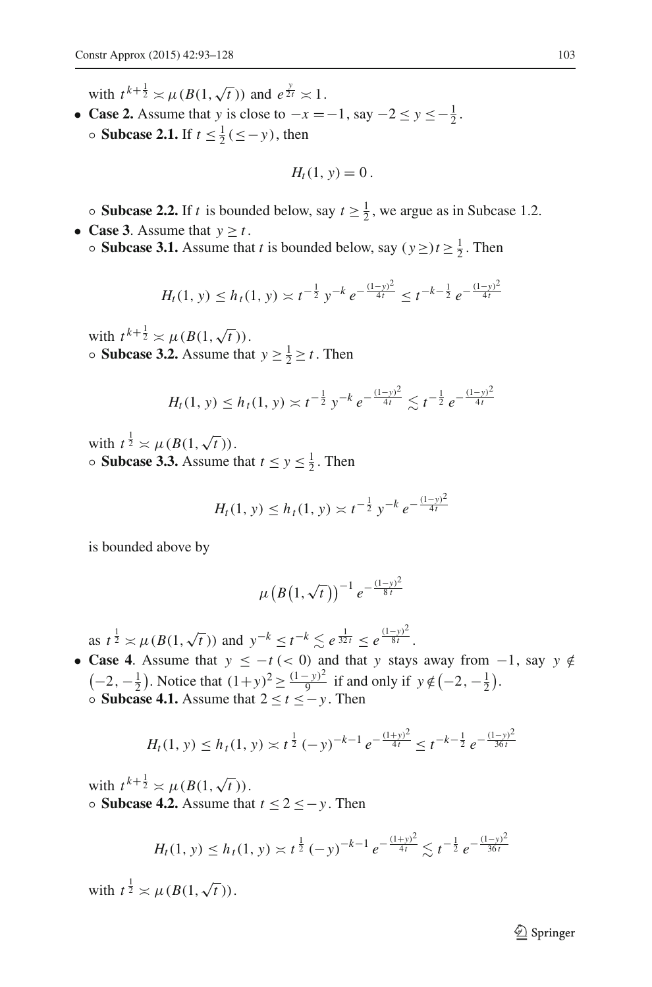with  $t^{k+\frac{1}{2}} \asymp \mu(B(1,\sqrt{t}))$  and  $e^{\frac{y}{2t}} \asymp 1$ .

• **Case 2.** Assume that *y* is close to  $-x = -1$ , say  $-2 \le y \le -\frac{1}{2}$ .  $\circ$  **Subcase 2.1.** If *t* ≤  $\frac{1}{2}$ (≤−*y*), then

$$
H_t(1, y) = 0.
$$

• **Subcase 2.2.** If *t* is bounded below, say  $t \ge \frac{1}{2}$ , we argue as in Subcase 1.2.

- **Case 3**. Assume that  $y \ge t$ .
	- **Subcase 3.1.** Assume that *t* is bounded below, say  $(y \ge t \ge \frac{1}{2}$ . Then

$$
H_t(1, y) \le h_t(1, y) \asymp t^{-\frac{1}{2}} y^{-k} e^{-\frac{(1-y)^2}{4t}} \le t^{-k-\frac{1}{2}} e^{-\frac{(1-y)^2}{4t}}
$$

with  $t^{k+\frac{1}{2}} \asymp \mu(B(1,\sqrt{t})).$ • **Subcase 3.2.** Assume that  $y \ge \frac{1}{2} \ge t$ . Then

$$
H_t(1, y) \le h_t(1, y) \asymp t^{-\frac{1}{2}} y^{-k} e^{-\frac{(1-y)^2}{4t}} \lesssim t^{-\frac{1}{2}} e^{-\frac{(1-y)^2}{4t}}
$$

with  $t^{\frac{1}{2}} \asymp \mu(B(1,\sqrt{t})).$ • **Subcase 3.3.** Assume that  $t \le y \le \frac{1}{2}$ . Then

$$
H_t(1, y) \le h_t(1, y) \asymp t^{-\frac{1}{2}} y^{-k} e^{-\frac{(1-y)^2}{4t}}
$$

is bounded above by

$$
\mu\left(B\left(1,\sqrt{t}\right)\right)^{-1}e^{-\frac{(1-y)^2}{8t}}
$$

as  $t^{\frac{1}{2}} \approx \mu(B(1,\sqrt{t}))$  and  $y^{-k} \le t^{-k} \le e^{\frac{1}{32t}} \le e^{\frac{(1-y)^2}{8t}}$ .

• **Case 4**. Assume that  $y \leq -t$  (< 0) and that *y* stays away from  $-1$ , say  $y \notin$  $\left(-2, -\frac{1}{2}\right)$ . Notice that  $(1+y)^2 \ge \frac{(1-y)^2}{9}$  if and only if  $y \notin \left(-2, -\frac{1}{2}\right)$ . ◦ **Subcase 4.1.** Assume that 2 ≤ *t* ≤−*y* . Then

$$
H_t(1, y) \le h_t(1, y) \asymp t^{\frac{1}{2}} (-y)^{-k-1} e^{-\frac{(1+y)^2}{4t}} \le t^{-k-\frac{1}{2}} e^{-\frac{(1-y)^2}{36t}}
$$

with  $t^{k+\frac{1}{2}} \asymp \mu(B(1,\sqrt{t})).$ ◦ **Subcase 4.2.** Assume that *t* ≤ 2 ≤−*y* . Then

$$
H_t(1, y) \le h_t(1, y) \asymp t^{\frac{1}{2}} (-y)^{-k-1} e^{-\frac{(1+y)^2}{4t}} \lesssim t^{-\frac{1}{2}} e^{-\frac{(1-y)^2}{36t}}
$$

with  $t^{\frac{1}{2}} \asymp \mu(B(1,\sqrt{t})).$ 

 $\mathcal{D}$  Springer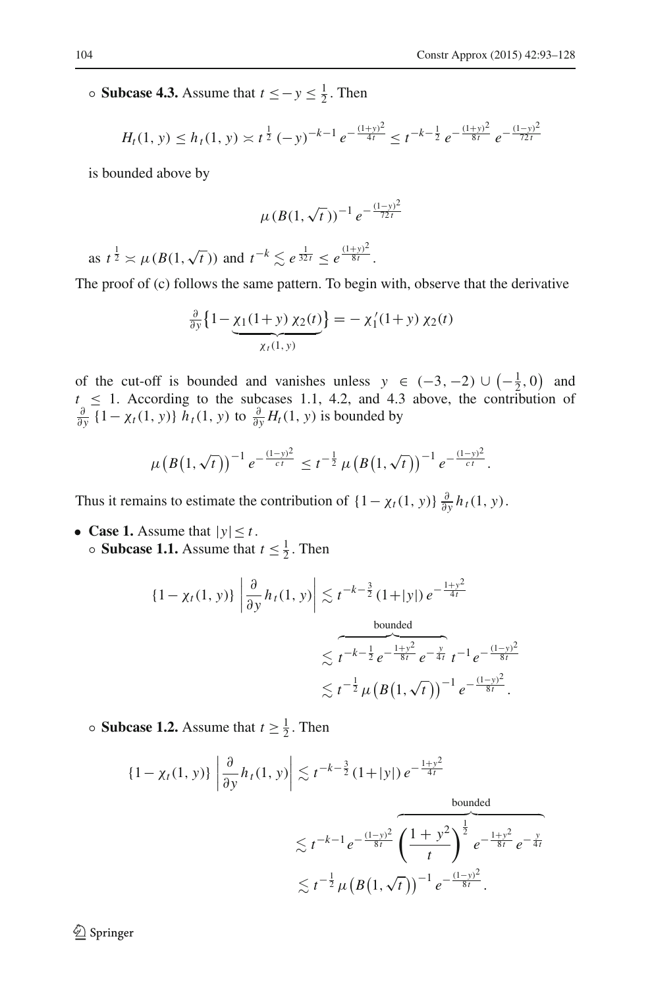◦ **Subcase 4.3.** Assume that *<sup>t</sup>* ≤−*<sup>y</sup>* <sup>≤</sup> <sup>1</sup> <sup>2</sup> . Then

$$
H_t(1, y) \le h_t(1, y) \asymp t^{\frac{1}{2}} (-y)^{-k-1} e^{-\frac{(1+y)^2}{4t}} \le t^{-k-\frac{1}{2}} e^{-\frac{(1+y)^2}{8t}} e^{-\frac{(1-y)^2}{72t}}
$$

is bounded above by

$$
\mu(B(1,\sqrt{t}))^{-1} e^{-\frac{(1-y)^2}{72t}}
$$

as  $t^{\frac{1}{2}} \approx \mu(B(1,\sqrt{t}))$  and  $t^{-k} \lesssim e^{\frac{1}{32t}} \leq e^{\frac{(1+y)^2}{8t}}$ .

The proof of (c) follows the same pattern. To begin with, observe that the derivative

$$
\frac{\partial}{\partial y} \left\{ 1 - \underbrace{\chi_1(1+y) \chi_2(t)}_{\chi_t(1,y)} \right\} = - \chi'_1(1+y) \chi_2(t)
$$

of the cut-off is bounded and vanishes unless  $y \in (-3, -2) \cup (-\frac{1}{2}, 0)$  and  $t \leq 1$ . According to the subcases 1.1, 4.2, and 4.3 above, the contribution of  $\frac{\partial}{\partial y}$  {1− *χ<sub>t</sub>*(1, *y*)} *h<sub>t</sub>*(1, *y*) to  $\frac{\partial}{\partial y}$ *H<sub>t</sub>*(1, *y*) is bounded by

$$
\mu\big(B\big(1,\sqrt{t}\big)\big)^{-1}e^{-\frac{(1-y)^2}{ct}} \leq t^{-\frac{1}{2}}\,\mu\big(B\big(1,\sqrt{t}\big)\big)^{-1}\,e^{-\frac{(1-y)^2}{ct}}.
$$

Thus it remains to estimate the contribution of  $\{1 - \chi_t(1, y)\}\frac{\partial}{\partial y}h_t(1, y)$ .

• **Case 1.** Assume that  $|y| \le t$ . • **Subcase 1.1.** Assume that  $t \leq \frac{1}{2}$ . Then

$$
\{1 - \chi_t(1, y)\} \left| \frac{\partial}{\partial y} h_t(1, y) \right| \lesssim t^{-k - \frac{3}{2}} (1 + |y|) e^{-\frac{1 + y^2}{4t}}
$$
  
bounded  

$$
\lesssim t^{-k - \frac{1}{2}} e^{-\frac{1 + y^2}{8t}} e^{-\frac{y}{4t}} t^{-1} e^{-\frac{(1 - y)^2}{8t}}
$$

$$
\lesssim t^{-\frac{1}{2}} \mu \left(B(1, \sqrt{t})\right)^{-1} e^{-\frac{(1 - y)^2}{8t}}.
$$

• **Subcase 1.2.** Assume that  $t \ge \frac{1}{2}$ . Then

$$
\{1 - \chi_t(1, y)\} \left| \frac{\partial}{\partial y} h_t(1, y) \right| \lesssim t^{-k - \frac{3}{2}} (1 + |y|) e^{-\frac{1 + y^2}{4t}}
$$
  
\nbounded  
\n
$$
\lesssim t^{-k-1} e^{-\frac{(1 - y)^2}{8t}} \overbrace{\left(\frac{1 + y^2}{t}\right)^{\frac{1}{2}} e^{-\frac{1 + y^2}{8t}} e^{-\frac{y}{4t}}}
$$
  
\n
$$
\lesssim t^{-\frac{1}{2}} \mu \left(B(1, \sqrt{t})\right)^{-1} e^{-\frac{(1 - y)^2}{8t}}.
$$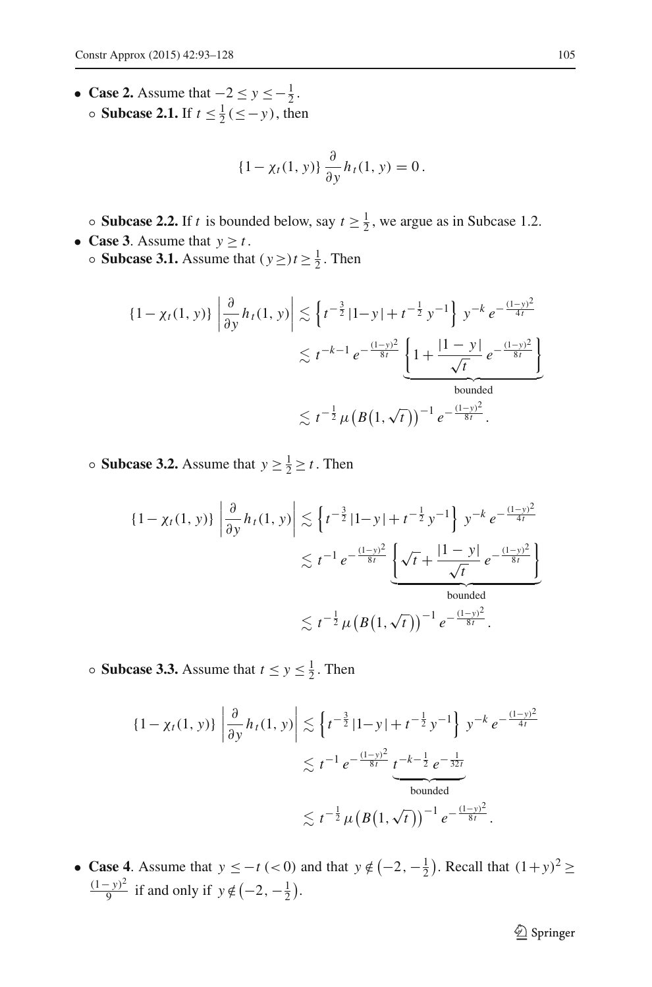• **Case 2.** Assume that  $-2 \le y \le -\frac{1}{2}$ .  $\circ$  **Subcase 2.1.** If *t* ≤  $\frac{1}{2}$ (≤−*y*), then

$$
\{1 - \chi_t(1, y)\}\frac{\partial}{\partial y}h_t(1, y) = 0.
$$

• **Subcase 2.2.** If *t* is bounded below, say  $t \ge \frac{1}{2}$ , we argue as in Subcase 1.2. • **Case 3**. Assume that  $y > t$ .

• **Subcase 3.1.** Assume that  $(y \ge t \ge \frac{1}{2})$ . Then

$$
\{1 - \chi_t(1, y)\} \left| \frac{\partial}{\partial y} h_t(1, y) \right| \lesssim \left\{ t^{-\frac{3}{2}} |1 - y| + t^{-\frac{1}{2}} y^{-1} \right\} y^{-k} e^{-\frac{(1 - y)^2}{4t}} \n\lesssim t^{-k-1} e^{-\frac{(1 - y)^2}{8t}} \underbrace{\left\{ 1 + \frac{|1 - y|}{\sqrt{t}} e^{-\frac{(1 - y)^2}{8t}} \right\}}_{\text{bounded}} \n\lesssim t^{-\frac{1}{2}} \mu \left( B(1, \sqrt{t}) \right)^{-1} e^{-\frac{(1 - y)^2}{8t}}.
$$

• **Subcase 3.2.** Assume that  $y \ge \frac{1}{2} \ge t$ . Then

$$
\left\{1 - \chi_t(1, y)\right\} \left| \frac{\partial}{\partial y} h_t(1, y) \right| \lesssim \left\{ t^{-\frac{3}{2}} |1 - y| + t^{-\frac{1}{2}} y^{-1} \right\} y^{-k} e^{-\frac{(1 - y)^2}{4t}} \n\lesssim t^{-1} e^{-\frac{(1 - y)^2}{8t}} \underbrace{\left\{ \sqrt{t} + \frac{|1 - y|}{\sqrt{t}} e^{-\frac{(1 - y)^2}{8t}} \right\}}_{\text{bounded}} \n\lesssim t^{-\frac{1}{2}} \mu \left( B(1, \sqrt{t}) \right)^{-1} e^{-\frac{(1 - y)^2}{8t}}.
$$

• **Subcase 3.3.** Assume that  $t \le y \le \frac{1}{2}$ . Then

$$
\{1 - \chi_t(1, y)\} \left| \frac{\partial}{\partial y} h_t(1, y) \right| \lesssim \left\{ t^{-\frac{3}{2}} |1 - y| + t^{-\frac{1}{2}} y^{-1} \right\} y^{-k} e^{-\frac{(1 - y)^2}{4t}}
$$
  

$$
\lesssim t^{-1} e^{-\frac{(1 - y)^2}{8t}} \underbrace{t^{-k - \frac{1}{2}} e^{-\frac{1}{32t}}}_{\text{bounded}}
$$
  

$$
\lesssim t^{-\frac{1}{2}} \mu \left( B(1, \sqrt{t}) \right)^{-1} e^{-\frac{(1 - y)^2}{8t}}.
$$

• **Case 4**. Assume that  $y \leq -t \leq 0$  and that  $y \notin \left(-2, -\frac{1}{2}\right)$ . Recall that  $(1+y)^2 \geq 0$  $\frac{(1-y)^2}{9}$  if and only if  $y \notin (-2, -\frac{1}{2})$ .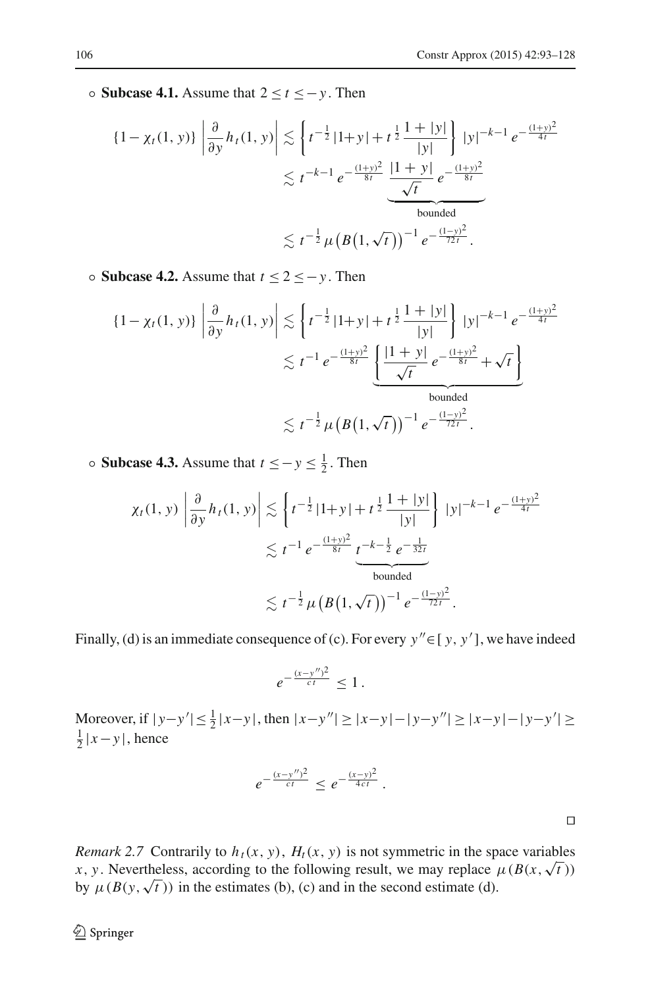◦ **Subcase 4.1.** Assume that 2 ≤ *t* ≤−*y* . Then

$$
\{1 - \chi_t(1, y)\} \left| \frac{\partial}{\partial y} h_t(1, y) \right| \lesssim \left\{ t^{-\frac{1}{2}} |1 + y| + t^{\frac{1}{2}} \frac{1 + |y|}{|y|} \right\} |y|^{-k-1} e^{-\frac{(1+y)^2}{4t}} \n\lesssim t^{-k-1} e^{-\frac{(1+y)^2}{8t}} \underbrace{\frac{|1 + y|}{\sqrt{t}} e^{-\frac{(1+y)^2}{8t}}}_{\text{bounded}} \n\lesssim t^{-\frac{1}{2}} \mu \left( B(1, \sqrt{t}) \right)^{-1} e^{-\frac{(1-y)^2}{72t}}.
$$

◦ **Subcase 4.2.** Assume that *t* ≤ 2 ≤−*y* . Then

$$
\{1 - \chi_t(1, y)\} \left| \frac{\partial}{\partial y} h_t(1, y) \right| \lesssim \left\{ t^{-\frac{1}{2}} |1 + y| + t^{\frac{1}{2}} \frac{1 + |y|}{|y|} \right\} |y|^{-k-1} e^{-\frac{(1+y)^2}{4t}} \n\lesssim t^{-1} e^{-\frac{(1+y)^2}{8t}} \underbrace{\left\{ \frac{|1 + y|}{\sqrt{t}} e^{-\frac{(1+y)^2}{8t}} + \sqrt{t} \right\}}_{\text{bounded}} \n\lesssim t^{-\frac{1}{2}} \mu \left( B(1, \sqrt{t}) \right)^{-1} e^{-\frac{(1-y)^2}{72t}}.
$$

◦ **Subcase 4.3.** Assume that *<sup>t</sup>* ≤−*<sup>y</sup>* <sup>≤</sup> <sup>1</sup> <sup>2</sup> . Then

$$
\chi_t(1, y) \left| \frac{\partial}{\partial y} h_t(1, y) \right| \lesssim \left\{ t^{-\frac{1}{2}} |1 + y| + t^{\frac{1}{2}} \frac{1 + |y|}{|y|} \right\} |y|^{-k-1} e^{-\frac{(1 + y)^2}{4t}} \n\lesssim t^{-1} e^{-\frac{(1 + y)^2}{8t}} \underbrace{t^{-k-\frac{1}{2}} e^{-\frac{1}{32t}}}_{\text{bounded}} \n\lesssim t^{-\frac{1}{2}} \mu \left( B(1, \sqrt{t}) \right)^{-1} e^{-\frac{(1 - y)^2}{72t}}.
$$

Finally, (d) is an immediate consequence of (c). For every  $y'' \in [y, y']$ , we have indeed

$$
e^{-\frac{(x-y'')^2}{ct}} \leq 1.
$$

Moreover, if  $|y-y'| \le \frac{1}{2}|x-y|$ , then  $|x-y''| \ge |x-y| - |y-y''| \ge |x-y| - |y-y'| \ge$  $\frac{1}{2}$  |  $x - y$  |, hence

$$
e^{-\frac{(x-y'')^2}{ct}} \leq e^{-\frac{(x-y)^2}{4ct}}.
$$

 $\Box$ 

<span id="page-13-0"></span>*Remark 2.7* Contrarily to  $h_t(x, y)$ ,  $H_t(x, y)$  is not symmetric in the space variables *x*, *y*. Nevertheless, according to the following result, we may replace  $\mu(B(x,\sqrt{t}))$ by  $\mu(B(y, \sqrt{t}))$  in the estimates (b), (c) and in the second estimate (d).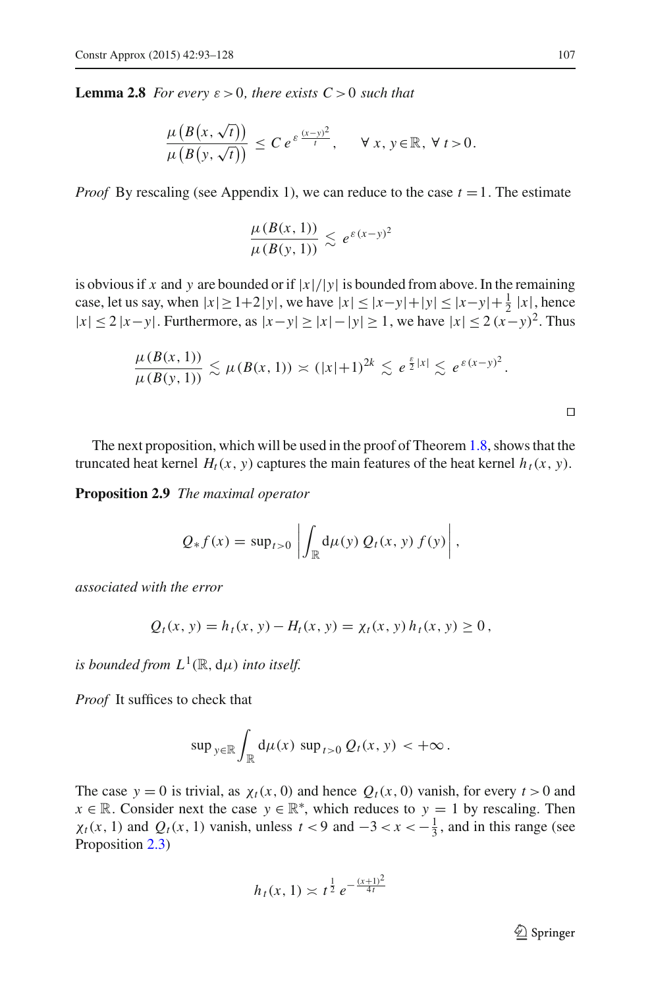**Lemma 2.8** *For every*  $\varepsilon > 0$ *, there exists*  $C > 0$  *such that* 

$$
\frac{\mu\left(B\big(x,\sqrt{t}\big)\right)}{\mu\left(B\big(y,\sqrt{t}\big)\right)} \leq C e^{\varepsilon \frac{(x-y)^2}{t}}, \quad \forall x, y \in \mathbb{R}, \forall t > 0.
$$

*Proof* By rescaling (see Appendix 1), we can reduce to the case  $t = 1$ . The estimate

$$
\frac{\mu(B(x, 1))}{\mu(B(y, 1))} \lesssim e^{\varepsilon (x-y)^2}
$$

is obvious if *x* and *y* are bounded or if  $|x|/|y|$  is bounded from above. In the remaining case, let us say, when  $|x| \ge 1+2|y|$ , we have  $|x| \le |x-y|+|y| \le |x-y|+\frac{1}{2}|x|$ , hence <sup>|</sup>*x*| ≤ <sup>2</sup> <sup>|</sup>*x*−*y*|. Furthermore, as <sup>|</sup>*x*−*y*|≥|*x*|−|*y*| ≥ 1, we have <sup>|</sup>*x*| ≤ <sup>2</sup> (*x*−*y*)2. Thus

$$
\frac{\mu(B(x, 1))}{\mu(B(y, 1))} \lesssim \mu(B(x, 1)) \asymp (|x|+1)^{2k} \lesssim e^{\frac{\varepsilon}{2}|x|} \lesssim e^{\varepsilon (x-y)^2}.
$$

<span id="page-14-0"></span> $\Box$ 

The next proposition, which will be used in the proof of Theorem [1.8,](#page-3-1) shows that the truncated heat kernel  $H_t(x, y)$  captures the main features of the heat kernel  $h_t(x, y)$ .

**Proposition 2.9** *The maximal operator*

$$
Q_* f(x) = \sup_{t>0} \left| \int_{\mathbb{R}} d\mu(y) Q_t(x, y) f(y) \right|,
$$

*associated with the error*

$$
Q_t(x, y) = h_t(x, y) - H_t(x, y) = \chi_t(x, y) h_t(x, y) \ge 0,
$$

*is bounded from*  $L^1(\mathbb{R}, d\mu)$  *into itself.* 

*Proof* It suffices to check that

$$
\sup\ny\in\mathbb{R}\int_{\mathbb{R}}d\mu(x)\,\sup\nt>0\,Q_t(x, y) < +\infty.
$$

The case  $y = 0$  is trivial, as  $\chi_t(x, 0)$  and hence  $Q_t(x, 0)$  vanish, for every  $t > 0$  and *x* ∈ R. Consider next the case  $y \in \mathbb{R}^*$ , which reduces to  $y = 1$  by rescaling. Then  $\chi_t(x, 1)$  and  $Q_t(x, 1)$  vanish, unless  $t < 9$  and  $-3 < x < -\frac{1}{3}$ , and in this range (see Proposition [2.3\)](#page-6-1)

$$
h_t(x, 1) \asymp t^{\frac{1}{2}} e^{-\frac{(x+1)^2}{4t}}
$$

 $\mathcal{D}$  Springer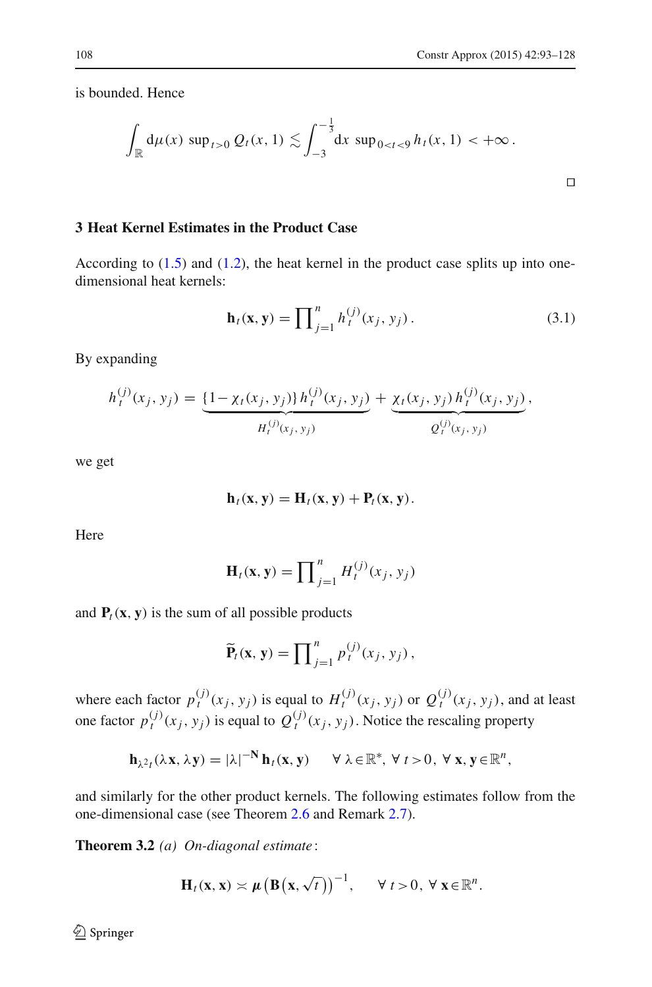$\Box$ 

is bounded. Hence

$$
\int_{\mathbb{R}} d\mu(x) \, \sup_{t>0} Q_t(x,1) \lesssim \int_{-3}^{-\frac{1}{3}} dx \, \sup_{0
$$

## <span id="page-15-0"></span>**3 Heat Kernel Estimates in the Product Case**

According to  $(1.5)$  and  $(1.2)$ , the heat kernel in the product case splits up into onedimensional heat kernels:

$$
\mathbf{h}_t(\mathbf{x}, \mathbf{y}) = \prod_{j=1}^n h_t^{(j)}(x_j, y_j).
$$
 (3.1)

<span id="page-15-1"></span>By expanding

$$
h_t^{(j)}(x_j, y_j) = \underbrace{\{1 - \chi_t(x_j, y_j)\} h_t^{(j)}(x_j, y_j)}_{H_t^{(j)}(x_j, y_j)} + \underbrace{\chi_t(x_j, y_j) h_t^{(j)}(x_j, y_j)}_{Q_t^{(j)}(x_j, y_j)},
$$

we get

$$
\mathbf{h}_t(\mathbf{x}, \mathbf{y}) = \mathbf{H}_t(\mathbf{x}, \mathbf{y}) + \mathbf{P}_t(\mathbf{x}, \mathbf{y}).
$$

Here

$$
\mathbf{H}_t(\mathbf{x}, \mathbf{y}) = \prod_{j=1}^n H_t^{(j)}(x_j, y_j)
$$

and  $P_t(x, y)$  is the sum of all possible products

$$
\widetilde{\mathbf{P}}_t(\mathbf{x},\mathbf{y})=\prod_{j=1}^n p_t^{(j)}(x_j,y_j),
$$

where each factor  $p_t^{(j)}(x_j, y_j)$  is equal to  $H_t^{(j)}(x_j, y_j)$  or  $Q_t^{(j)}(x_j, y_j)$ , and at least one factor  $p_t^{(j)}(x_j, y_j)$  is equal to  $Q_t^{(j)}(x_j, y_j)$ . Notice the rescaling property

$$
\mathbf{h}_{\lambda^2 t}(\lambda \mathbf{x}, \lambda \mathbf{y}) = |\lambda|^{-N} \mathbf{h}_t(\mathbf{x}, \mathbf{y}) \quad \forall \ \lambda \in \mathbb{R}^*, \ \forall \ t > 0, \ \forall \ \mathbf{x}, \mathbf{y} \in \mathbb{R}^n,
$$

<span id="page-15-2"></span>and similarly for the other product kernels. The following estimates follow from the one-dimensional case (see Theorem [2.6](#page-8-0) and Remark [2.7\)](#page-13-0).

**Theorem 3.2** *(a) On-diagonal estimate* :

$$
\mathbf{H}_t(\mathbf{x},\mathbf{x}) \asymp \mu \big(\mathbf{B}\big(\mathbf{x},\sqrt{t}\big)\big)^{-1}, \qquad \forall \ t > 0, \ \forall \ \mathbf{x} \in \mathbb{R}^n.
$$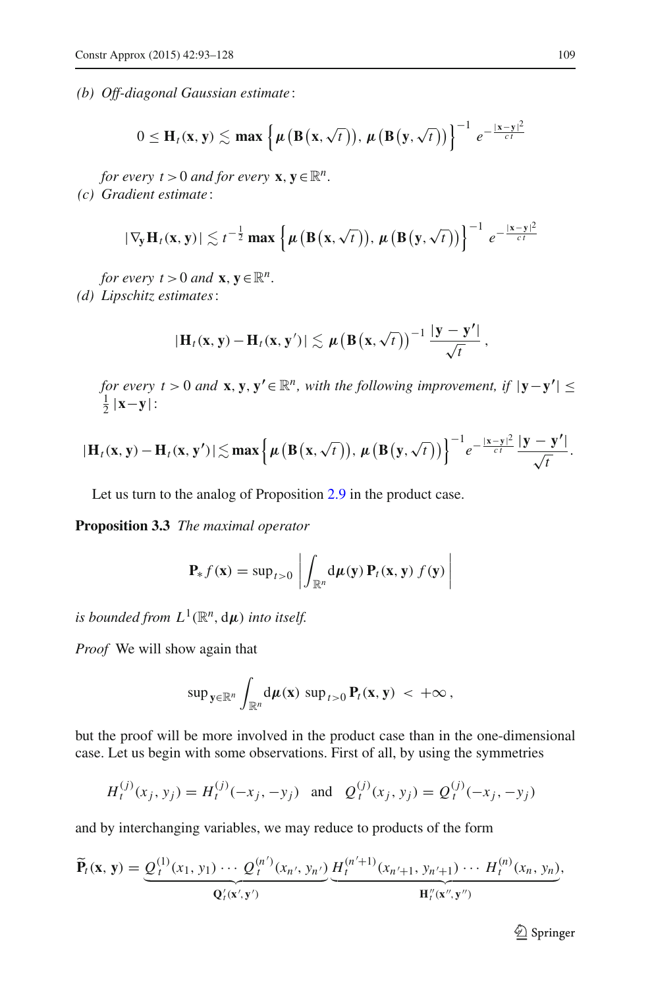*(b) Off-diagonal Gaussian estimate* :

$$
0 \leq \mathbf{H}_t(\mathbf{x}, \mathbf{y}) \lesssim \max \left\{ \mu \left( \mathbf{B} \left( \mathbf{x}, \sqrt{t} \right) \right), \, \mu \left( \mathbf{B} \left( \mathbf{y}, \sqrt{t} \right) \right) \right\}^{-1} e^{-\frac{\|\mathbf{x} - \mathbf{y}\|^2}{ct}}
$$

*for every*  $t > 0$  *and for every*  $\mathbf{x}, \mathbf{y} \in \mathbb{R}^n$ .

*(c) Gradient estimate* :

$$
|\nabla_{\mathbf{y}} \mathbf{H}_t(\mathbf{x}, \mathbf{y})| \lesssim t^{-\frac{1}{2}} \max \left\{ \mu \left( \mathbf{B} \left( \mathbf{x}, \sqrt{t} \right) \right), \, \mu \left( \mathbf{B} \left( \mathbf{y}, \sqrt{t} \right) \right) \right\}^{-1} e^{-\frac{\|\mathbf{x} - \mathbf{y}\|^2}{ct}}
$$

*for every t* > 0 *and* **x**,  $\mathbf{y} \in \mathbb{R}^n$ . *(d) Lipschitz estimates*:

$$
|\mathbf{H}_t(\mathbf{x}, \mathbf{y}) - \mathbf{H}_t(\mathbf{x}, \mathbf{y}')| \lesssim \mu \big(\mathbf{B}(\mathbf{x}, \sqrt{t})\big)^{-1} \frac{|\mathbf{y} - \mathbf{y}'|}{\sqrt{t}},
$$

*for every t* > 0 *and* **x**, **y**, **y'**  $\in \mathbb{R}^n$ , with the following improvement, if  $|\mathbf{y}-\mathbf{y}'| \le$  $\frac{1}{2}$  |**x**−**y**|:

$$
|\mathbf{H}_t(\mathbf{x}, \mathbf{y}) - \mathbf{H}_t(\mathbf{x}, \mathbf{y'})| \lesssim \max \left\{ \mu \left( \mathbf{B} \left( \mathbf{x}, \sqrt{t} \right) \right), \mu \left( \mathbf{B} \left( \mathbf{y}, \sqrt{t} \right) \right) \right\}^{-1} e^{-\frac{|\mathbf{x} - \mathbf{y}|^2}{ct}} \frac{|\mathbf{y} - \mathbf{y'}|}{\sqrt{t}}.
$$

Let us turn to the analog of Proposition [2.9](#page-14-0) in the product case.

<span id="page-16-0"></span>**Proposition 3.3** *The maximal operator*

$$
\mathbf{P}_{*} f(\mathbf{x}) = \sup_{t>0} \left| \int_{\mathbb{R}^{n}} d\mu(\mathbf{y}) \, \mathbf{P}_{t}(\mathbf{x}, \mathbf{y}) \, f(\mathbf{y}) \right|
$$

*is bounded from*  $L^1(\mathbb{R}^n, d\mu)$  *into itself.* 

*Proof* We will show again that

$$
\sup\n\mathbf{y}\in\mathbb{R}^n}\int_{\mathbb{R}^n}\mathrm{d}\boldsymbol{\mu}(\mathbf{x})\,\sup\n<_{t>0}\mathbf{P}_t(\mathbf{x},\mathbf{y})\,<\,+\infty\,,
$$

but the proof will be more involved in the product case than in the one-dimensional case. Let us begin with some observations. First of all, by using the symmetries

$$
H_t^{(j)}(x_j, y_j) = H_t^{(j)}(-x_j, -y_j) \text{ and } Q_t^{(j)}(x_j, y_j) = Q_t^{(j)}(-x_j, -y_j)
$$

and by interchanging variables, we may reduce to products of the form

$$
\widetilde{\mathbf{P}}_t(\mathbf{x}, \mathbf{y}) = \underbrace{\mathcal{Q}_t^{(1)}(x_1, y_1) \cdots \mathcal{Q}_t^{(n')}(x_{n'}, y_{n'})}_{\mathbf{Q}_t'(\mathbf{x}', \mathbf{y}')}\underbrace{\mathbf{H}_t^{(n'+1)}(x_{n'+1}, y_{n'+1}) \cdots \mathbf{H}_t^{(n)}(x_n, y_n)}_{\mathbf{H}_t''(\mathbf{x}'', \mathbf{y}'')}
$$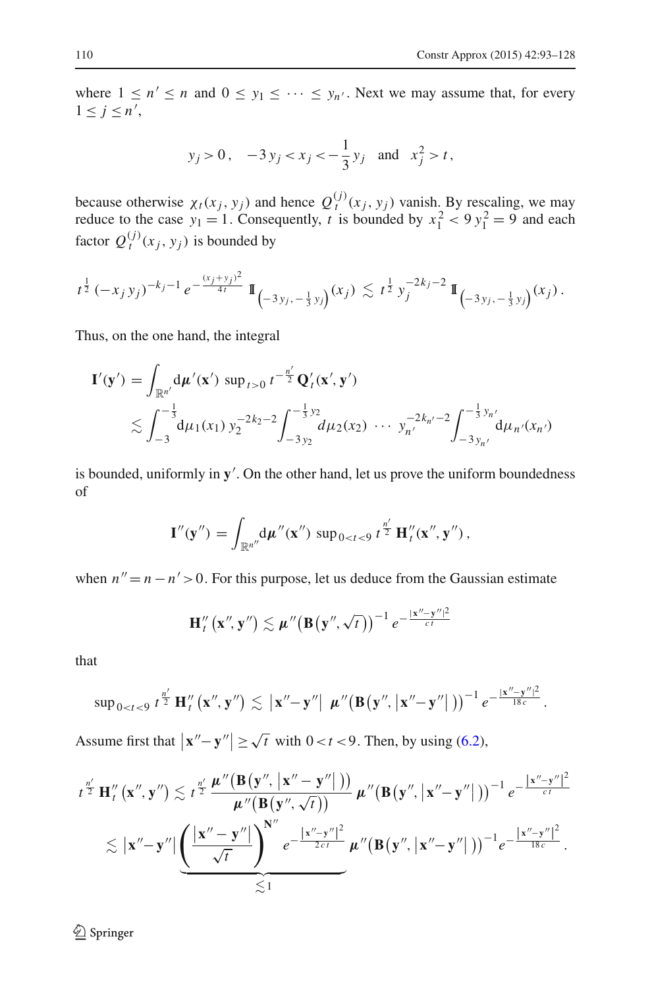where  $1 \le n' \le n$  and  $0 \le y_1 \le \cdots \le y_n'$ . Next we may assume that, for every  $1 \leq j \leq n',$ 

$$
y_j > 0
$$
,  $-3y_j < x_j < -\frac{1}{3}y_j$  and  $x_j^2 > t$ ,

because otherwise  $\chi_t(x_j, y_j)$  and hence  $Q_t^{(j)}(x_j, y_j)$  vanish. By rescaling, we may reduce to the case  $y_1 = 1$ . Consequently, *t* is bounded by  $x_1^2 < 9y_1^2 = 9$  and each factor  $Q_t^{(j)}(x_j, y_j)$  is bounded by

$$
t^{\frac{1}{2}}(-x_jy_j)^{-k_j-1}e^{-\frac{(x_j+y_j)^2}{4t}}\mathbb{I}_{(-3y_j,-\frac{1}{3}y_j)}(x_j) \lesssim t^{\frac{1}{2}}y_j^{-2k_j-2}\mathbb{I}_{(-3y_j,-\frac{1}{3}y_j)}(x_j).
$$

Thus, on the one hand, the integral

$$
\mathbf{I}'(\mathbf{y}') = \int_{\mathbb{R}^{n'}} d\mu'(\mathbf{x}') \sup_{t>0} t^{-\frac{n'}{2}} \mathbf{Q}'_t(\mathbf{x}', \mathbf{y}')
$$
  
\$\lesssim \int\_{-3}^{-\frac{1}{3}} d\mu\_1(x\_1) y\_2^{-2k\_2 - 2} \int\_{-3y\_2}^{-\frac{1}{3}y\_2} d\mu\_2(x\_2) \cdots y\_{n'}^{-2k\_{n'}-2} \int\_{-3y\_{n'}}^{-\frac{1}{3}y\_{n'}} d\mu\_{n'}(x\_n')\$

is bounded, uniformly in **y** . On the other hand, let us prove the uniform boundedness of

$$
\mathbf{I}''(\mathbf{y}'') = \int_{\mathbb{R}^{n''}} d\mu''(\mathbf{x}'') \, \sup_{0 < t < 9} t^{\frac{n'}{2}} \, \mathbf{H}_t''(\mathbf{x}'', \mathbf{y}'') \, ,
$$

when  $n'' = n - n' > 0$ . For this purpose, let us deduce from the Gaussian estimate

$$
\mathbf{H}''_t\left(\mathbf{x}'',\mathbf{y}''\right) \lesssim \boldsymbol{\mu}''\big(\mathbf{B}\big(\mathbf{y}'',\sqrt{t}\big)\big)^{-1} e^{-\frac{\|\mathbf{x}''-\mathbf{y}''\|^2}{ct}}
$$

that

$$
\sup\nolimits_{0
$$

Assume first that  $|\mathbf{x}'' - \mathbf{y}''| \ge \sqrt{t}$  with  $0 < t < 9$ . Then, by using [\(6.2\)](#page-29-0),

$$
\begin{aligned} t^{\frac{n'}{2}}\,\mathbf{H}''_t\left(\mathbf{x}'',\mathbf{y}''\right) &\lesssim t^{\frac{n'}{2}}\,\frac{\boldsymbol{\mu}''\big(\mathbf{B}\big(\mathbf{y}'',\left|\mathbf{x}''-\mathbf{y}''\right|\big)\big)}{\boldsymbol{\mu}''\big(\mathbf{B}\big(\mathbf{y}'',\left|\mathbf{x}''-\mathbf{y}''\right|\big)\big)^{-1}\,e^{-\frac{\big|\mathbf{x}''-\mathbf{y}''\big|^2}{c\,t}}\\ &\lesssim \big|\mathbf{x}''\!-\mathbf{y}''\big|\underbrace{\bigg(\frac{\big|\mathbf{x}''-\mathbf{y}''\big|}{\sqrt{t}}\bigg)^{\!\mathbf{N}''}}_{\lesssim 1} \,e^{-\frac{\big|\mathbf{x}''-\mathbf{y}''\big|^2}{2c\,t}}\,\boldsymbol{\mu}''\big(\mathbf{B}\big(\mathbf{y}'',\left|\mathbf{x}''\!-\mathbf{y}''\right|\big)\big)^{-1}e^{-\frac{\big|\mathbf{x}''-\mathbf{y}''\big|^2}{18c}}_{\quad \ \ \, 1}.\end{aligned}
$$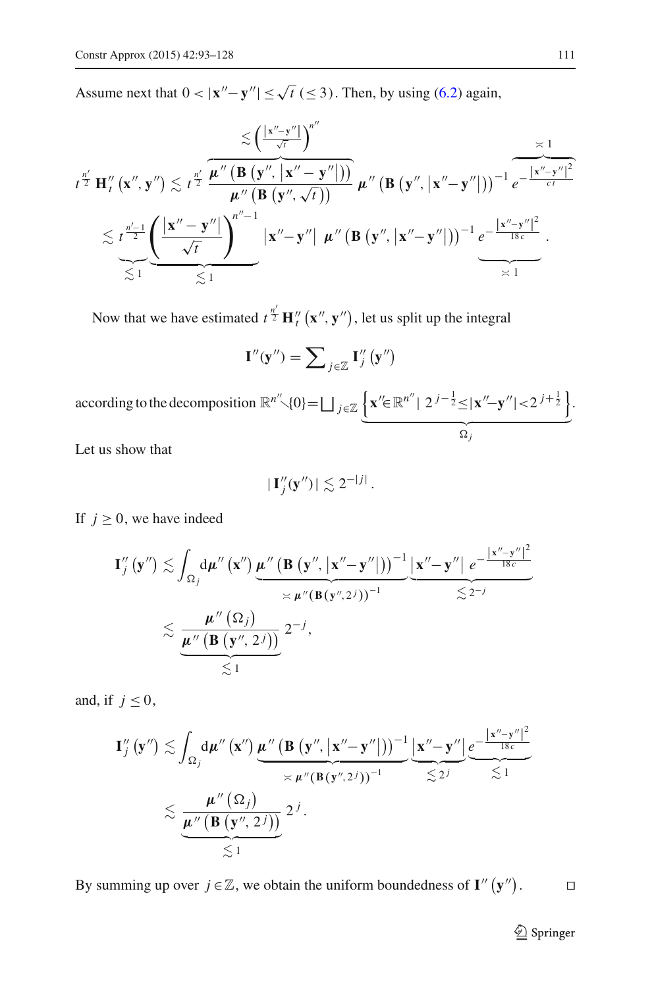Assume next that  $0 < |x'' - y''| \le \sqrt{t} \le 3$ . Then, by using [\(6.2\)](#page-29-0) again,

$$
t^{\frac{n'}{2}} \mathbf{H}''_t(\mathbf{x}'', \mathbf{y}'') \lesssim t^{\frac{n'}{2}} \frac{\overbrace{\boldsymbol{\mu}''(\mathbf{B}(\mathbf{y}'', \mathbf{x}'' - \mathbf{y}''))}^{\pi''}}{\boldsymbol{\mu}''(\mathbf{B}(\mathbf{y}'', \sqrt{t}))} \boldsymbol{\mu}''(\mathbf{B}(\mathbf{y}'', \mathbf{x}'' - \mathbf{y}'')))^{-1} e^{-\frac{|\mathbf{x}'' - \mathbf{y}''|^2}{ct}} \n\lesssim t^{\frac{n'-1}{2}} \frac{\left(\frac{|\mathbf{x}'' - \mathbf{y}''|}{\sqrt{t}}\right)^{n''-1}}{\sqrt{t}} |\mathbf{x}'' - \mathbf{y}''| \boldsymbol{\mu}''(\mathbf{B}(\mathbf{y}'', \mathbf{x}'' - \mathbf{y}'')))^{-1} e^{-\frac{|\mathbf{x}'' - \mathbf{y}''|^2}{18c}}}{\simeq 1}.
$$

Now that we have estimated  $t^{\frac{n'}{2}} \mathbf{H}''_t(\mathbf{x}'', \mathbf{y}'')$ , let us split up the integral

$$
\mathbf{I}''(\mathbf{y}'') = \sum\nolimits_{j \in \mathbb{Z}} \mathbf{I}''_j(\mathbf{y}'')
$$

according to the decomposition  $\mathbb{R}^{n}$ <sup>''</sup>  $\set{0} = \bigsqcup_{j \in \mathbb{Z}} \left\{ \mathbf{x}'' \in \mathbb{R}^{n}^{n} \mid 2^{j-\frac{1}{2}} \leq |\mathbf{x}'' - \mathbf{y}''| < 2^{j+\frac{1}{2}} \right\}$  $\alpha_j$ .

Let us show that

$$
|\mathbf{I}''_j(\mathbf{y}'')| \lesssim 2^{-|j|}.
$$

If  $j \geq 0$ , we have indeed

$$
\mathbf{I}_{j}''\left(\mathbf{y}''\right) \lesssim \int_{\Omega_{j}} d\mu''\left(\mathbf{x}''\right) \underbrace{\mu''\left(\mathbf{B}\left(\mathbf{y}'',\left|\mathbf{x}''-\mathbf{y}''\right|\right)\right)^{-1}}_{\asymp \mu''\left(\mathbf{B}\left(\mathbf{y}'',2^{j}\right)\right)^{-1}} \underbrace{\left|\mathbf{x}''-\mathbf{y}''\right| e^{-\frac{\left|\mathbf{x}''-\mathbf{y}''\right|^{2}}{18c}}}_{\lesssim 2^{-j}}}{\lesssim \underbrace{\frac{\mu''\left(\Omega_{j}\right)}{\mu''\left(\mathbf{B}\left(\mathbf{y}'',2^{j}\right)\right)}}_{\lesssim 1} 2^{-j},
$$

and, if  $j \leq 0$ ,

$$
\mathbf{I}_{j}''\left(\mathbf{y}''\right) \lesssim \int_{\Omega_{j}} d\mu''\left(\mathbf{x}''\right) \underbrace{\mu''\left(\mathbf{B}\left(\mathbf{y}'',\left|\mathbf{x}''-\mathbf{y}''\right|\right)\right)^{-1}}_{\asymp \mu''\left(\mathbf{B}\left(\mathbf{y}'',2^{j}\right)\right)^{-1}} \underbrace{\left|\mathbf{x}''-\mathbf{y}''\right|}_{\lesssim 2^{j}} \underbrace{e^{-\frac{\left|\mathbf{x}''-\mathbf{y}''\right|^{2}}{18c}}}_{\lesssim 1}
$$
\n
$$
\lesssim \underbrace{\frac{\mu''\left(\Omega_{j}\right)}{\mu''\left(\mathbf{B}\left(\mathbf{y}'',2^{j}\right)\right)}}_{\lesssim 1} 2^{j}.
$$

By summing up over  $j \in \mathbb{Z}$ , we obtain the uniform boundedness of **I**<sup>*n*</sup> (**y**<sup>*n*</sup>)  $\Box$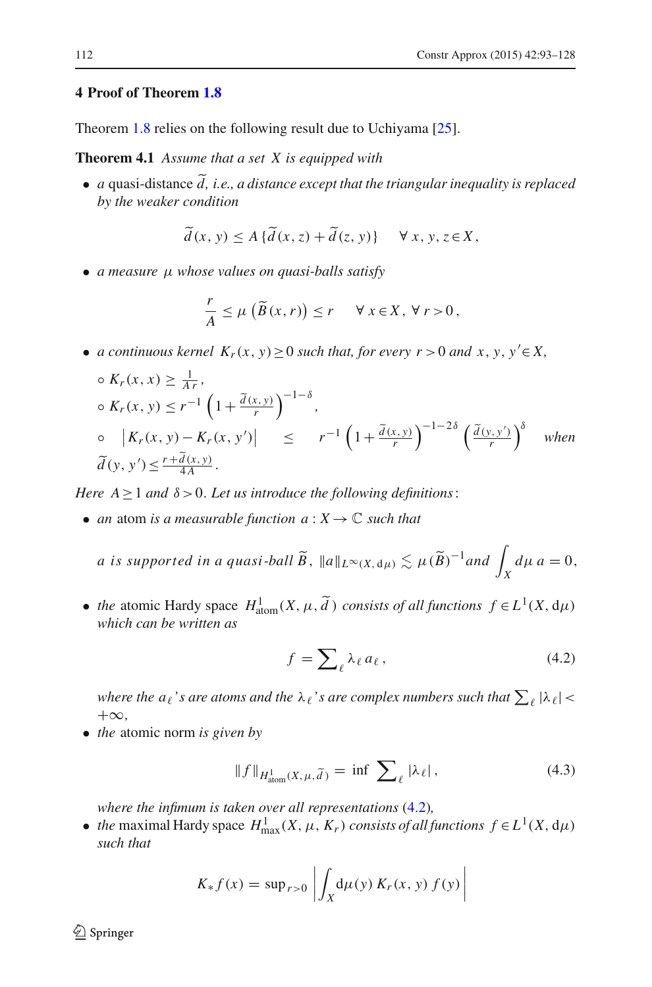#### <span id="page-19-0"></span>**4 Proof of Theorem [1.8](#page-3-1)**

<span id="page-19-3"></span>Theorem [1.8](#page-3-1) relies on the following result due to Uchiyama [\[25\]](#page-35-8).

**Theorem 4.1** *Assume that a set X is equipped with*

• *<sup>a</sup>* quasi-distance *d, i.e., a distance except that the triangular inequality is replaced by the weaker condition*

$$
\widetilde{d}(x, y) \le A \{ \widetilde{d}(x, z) + \widetilde{d}(z, y) \} \quad \forall x, y, z \in X,
$$

• *a measure* μ *whose values on quasi-balls satisfy*

$$
\frac{r}{A} \le \mu \left( \widetilde{B}(x,r) \right) \le r \quad \forall x \in X, \forall r > 0,
$$

• *a continuous kernel*  $K_r(x, y) \ge 0$  *such that, for every r* > 0 *and*  $x, y, y' \in X$ ,

$$
\begin{aligned}\n&\circ K_r(x, x) \ge \frac{1}{Ar}, \\
&\circ K_r(x, y) \le r^{-1} \left( 1 + \frac{\tilde{d}(x, y)}{r} \right)^{-1-\delta}, \\
&\circ \left| K_r(x, y) - K_r(x, y') \right| \le r^{-1} \left( 1 + \frac{\tilde{d}(x, y)}{r} \right)^{-1-2\delta} \left( \frac{\tilde{d}(y, y')}{r} \right)^{\delta} \quad \text{when} \\
&\tilde{d}(y, y') \le \frac{r + \tilde{d}(x, y)}{4A}.\n\end{aligned}
$$

*Here*  $A \geq 1$  *and*  $\delta > 0$ *. Let us introduce the following definitions*:

• *an* atom *is a measurable function*  $a: X \to \mathbb{C}$  *such that* 

a is supported in a quasi-ball 
$$
\widetilde{B}
$$
,  $||a||_{L^{\infty}(X, d\mu)} \lesssim \mu(\widetilde{B})^{-1}$  and  $\int_{X} d\mu \ a = 0$ ,

• *the* atomic Hardy space  $H^1_{\text{atom}}(X, \mu, \tilde{d})$  *consists of all functions*  $f \in L^1(X, d\mu)$ *which can be written as*

$$
f = \sum_{\ell} \lambda_{\ell} a_{\ell}, \qquad (4.2)
$$

<span id="page-19-1"></span>where the  $a_\ell$ 's are atoms and the  $\lambda_\ell$ 's are complex numbers such that  $\sum_\ell |\lambda_\ell|$  < +∞*,*

• *the* atomic norm *is given by*

$$
\|f\|_{H^1_{\text{atom}}(X,\,\mu,\,\widetilde{d}\,)} = \inf \,\sum_{\ell} |\lambda_{\ell}|\,,\tag{4.3}
$$

<span id="page-19-2"></span>*where the infimum is taken over all representations* [\(4.2\)](#page-19-1)*,*

• *the* maximal Hardy space  $H_{\text{max}}^1(X, \mu, K_r)$  *consists of all functions*  $f \in L^1(X, d\mu)$ *such that*

$$
K_* f(x) = \sup_{r>0} \left| \int_X d\mu(y) K_r(x, y) f(y) \right|
$$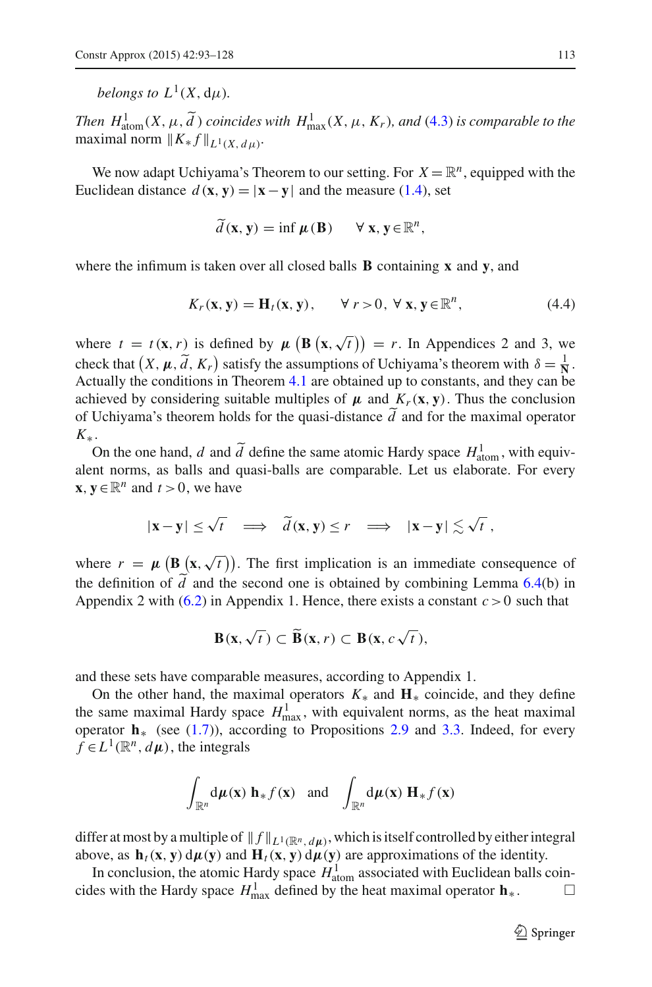*belongs to*  $L^1(X, du)$ *.* 

*Then*  $H^1_{\text{atom}}(X, \mu, \tilde{d})$  *coincides with*  $H^1_{\text{max}}(X, \mu, K_r)$ *, and* [\(4.3\)](#page-19-2) *is comparable to the* maximal norm  $||K_* f||_{L^1(X, d\mu)}$ .

We now adapt Uchiyama's Theorem to our setting. For  $X = \mathbb{R}^n$ , equipped with the Euclidean distance  $d(\mathbf{x}, \mathbf{y}) = |\mathbf{x} - \mathbf{y}|$  and the measure [\(1.4\)](#page-2-2), set

$$
\widetilde{d}(\mathbf{x}, \mathbf{y}) = \inf \boldsymbol{\mu}(\mathbf{B}) \qquad \forall \mathbf{x}, \mathbf{y} \in \mathbb{R}^n,
$$

<span id="page-20-0"></span>where the infimum is taken over all closed balls **B** containing **x** and **y**, and

$$
K_r(\mathbf{x}, \mathbf{y}) = \mathbf{H}_t(\mathbf{x}, \mathbf{y}), \qquad \forall \ r > 0, \ \forall \ \mathbf{x}, \mathbf{y} \in \mathbb{R}^n,
$$
 (4.4)

where  $t = t(\mathbf{x}, r)$  is defined by  $\mu\left(\mathbf{B}\left(\mathbf{x}, \sqrt{t}\right)\right) = r$ . In Appendices 2 and 3, we check that  $(X, \mu, \tilde{d}, K_r)$  satisfy the assumptions of Uchiyama's theorem with  $\delta = \frac{1}{N}$ . Actually the conditions in Theorem [4.1](#page-19-3) are obtained up to constants, and they can be achieved by considering suitable multiples of  $\mu$  and  $K_r(\mathbf{x}, \mathbf{y})$ . Thus the conclusion of Uchiyama's theorem holds for the quasi-distance *d* and for the maximal operator  $K_*$ .

On the one hand, *d* and  $\tilde{d}$  define the same atomic Hardy space  $H_{\text{atom}}^1$ , with equivalent norms, as balls and quasi-balls are comparable. Let us elaborate. For every **x**, **y**∈ $\mathbb{R}^n$  and *t* > 0, we have

$$
|\mathbf{x}-\mathbf{y}| \le \sqrt{t} \implies \tilde{d}(\mathbf{x}, \mathbf{y}) \le r \implies |\mathbf{x}-\mathbf{y}| \lesssim \sqrt{t}
$$

where  $r = \mu \left( \mathbf{B}(\mathbf{x}, \sqrt{t}) \right)$ . The first implication is an immediate consequence of the definition of *d* and the second one is obtained by combining Lemma [6.4\(](#page-30-0)b) in<br>Agreed in 2 with  $(6, 2)$  in Agreed in 1. Hence, there with a constant  $\alpha$ , 0 web that Appendix 2 with  $(6.2)$  in Appendix 1. Hence, there exists a constant  $c > 0$  such that

$$
\mathbf{B}(\mathbf{x},\sqrt{t})\subset\widetilde{\mathbf{B}}(\mathbf{x},r)\subset\mathbf{B}(\mathbf{x},c\sqrt{t}),
$$

and these sets have comparable measures, according to Appendix 1.

On the other hand, the maximal operators *K*<sup>∗</sup> and **H**<sup>∗</sup> coincide, and they define the same maximal Hardy space  $H_{\text{max}}^1$ , with equivalent norms, as the heat maximal operator **h**<sup>∗</sup> (see [\(1.7\)](#page-3-2)), according to Propositions [2.9](#page-14-0) and [3.3.](#page-16-0) Indeed, for every  $f \in L^1(\mathbb{R}^n, d\mu)$ , the integrals

$$
\int_{\mathbb{R}^n} d\mu(\mathbf{x}) \, \mathbf{h}_* f(\mathbf{x}) \quad \text{and} \quad \int_{\mathbb{R}^n} d\mu(\mathbf{x}) \, \mathbf{H}_* f(\mathbf{x})
$$

differ at most by a multiple of  $|| f ||_{L^1(\mathbb{R}^n, d\mu)}$ , which is itself controlled by either integral above, as  $\mathbf{h}_t(\mathbf{x}, \mathbf{y}) d\mu(\mathbf{y})$  and  $\mathbf{H}_t(\mathbf{x}, \mathbf{y}) d\mu(\mathbf{y})$  are approximations of the identity.

In conclusion, the atomic Hardy space  $H_{\text{atom}}^1$  associated with Euclidean balls coincides with the Hardy space  $H_{\text{max}}^1$  defined by the heat maximal operator  $\mathbf{h}_*$ .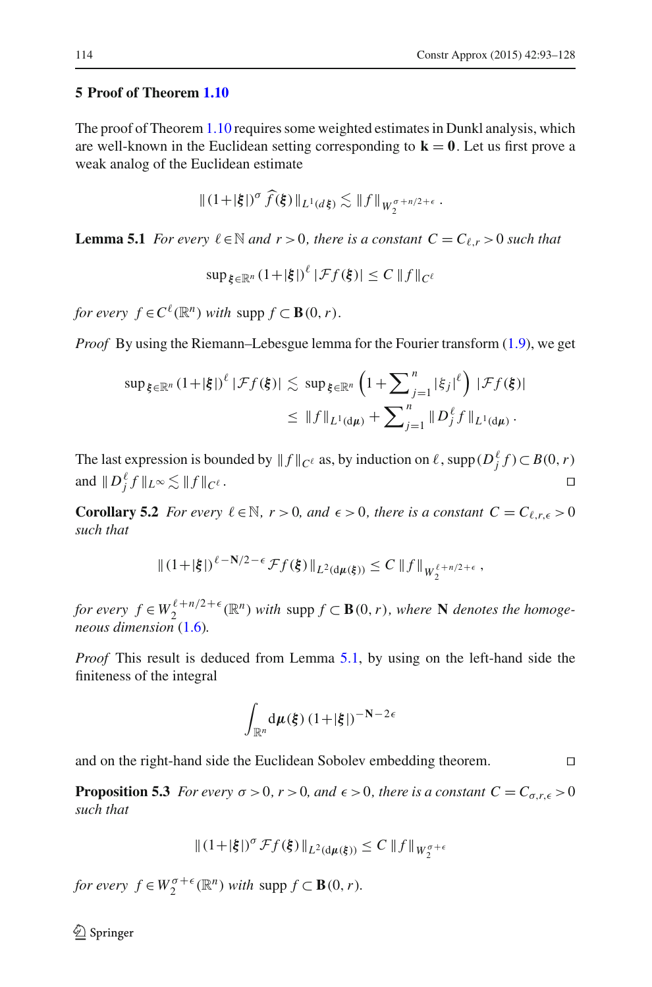## <span id="page-21-0"></span>**5 Proof of Theorem [1.10](#page-4-1)**

The proof of Theorem [1.10](#page-4-1) requires some weighted estimates in Dunkl analysis, which are well-known in the Euclidean setting corresponding to  $\mathbf{k} = \mathbf{0}$ . Let us first prove a weak analog of the Euclidean estimate

$$
\|(1+|\xi|)^\sigma \widehat{f}(\xi)\|_{L^1(d\xi)} \lesssim \|f\|_{W_2^{\sigma+n/2+\epsilon}}.
$$

<span id="page-21-1"></span>**Lemma 5.1** *For every*  $\ell \in \mathbb{N}$  *and*  $r > 0$ *, there is a constant*  $C = C_{\ell, r} > 0$  *such that* 

$$
\sup_{\xi \in \mathbb{R}^n} (1+|\xi|)^{\ell} |\mathcal{F}f(\xi)| \le C \|f\|_{C^{\ell}}
$$

*for every*  $f \in C^{\ell}(\mathbb{R}^n)$  *with* supp  $f \subset \mathbf{B}(0, r)$ *.* 

*Proof* By using the Riemann–Lebesgue lemma for the Fourier transform [\(1.9\)](#page-3-0), we get

$$
\sup_{\xi \in \mathbb{R}^n} (1+|\xi|)^{\ell} |\mathcal{F}f(\xi)| \lesssim \sup_{\xi \in \mathbb{R}^n} \left(1+\sum_{j=1}^n |\xi_j|^{\ell}\right) |\mathcal{F}f(\xi)|
$$
  

$$
\leq \|f\|_{L^1(\mathrm{d}\mu)} + \sum_{j=1}^n \|D_j^{\ell}f\|_{L^1(\mathrm{d}\mu)}.
$$

The last expression is bounded by  $|| f ||_{C^{\ell}}$  as, by induction on  $\ell$ , supp $(D_j^{\ell} f) \subset B(0, r)$ and  $||D_j^{\ell} f||_{L^{\infty}} \lesssim ||f||$  $C^{\ell}$  .

<span id="page-21-2"></span>**Corollary 5.2** *For every*  $\ell \in \mathbb{N}$ *, r* > 0*, and*  $\epsilon$  > 0*, there is a constant*  $C = C_{\ell,r,\epsilon} > 0$ *such that*

$$
||(1+|\xi|)^{\ell-N/2-\epsilon}\mathcal{F}f(\xi)||_{L^2(d\mu(\xi))}\leq C||f||_{W_2^{\ell+n/2+\epsilon}},
$$

*for every*  $f \in W_2^{\ell+n/2+\epsilon}(\mathbb{R}^n)$  *with* supp  $f \subset \mathbf{B}(0,r)$ *, where* **N** *denotes the homogeneous dimension* [\(1.6\)](#page-2-3)*.*

*Proof* This result is deduced from Lemma [5.1,](#page-21-1) by using on the left-hand side the finiteness of the integral

$$
\int_{\mathbb{R}^n} \mathrm{d}\mu(\xi) \, (1+|\xi|)^{-N-2\epsilon}
$$

and on the right-hand side the Euclidean Sobolev embedding theorem.

**Proposition 5.3** *For every*  $\sigma > 0$ *, r* > 0*, and*  $\epsilon > 0$ *, there is a constant*  $C = C_{\sigma,r,\epsilon} > 0$ *such that*

$$
\|(1+|\xi|)^\sigma \mathcal{F}f(\xi)\|_{L^2(\mathrm{d}\mu(\xi))} \leq C\,\|f\|_{W^{\sigma+\epsilon}_2}
$$

*for every*  $f \in W_2^{\sigma + \epsilon}(\mathbb{R}^n)$  *with* supp  $f \subset \mathbf{B}(0, r)$ *.*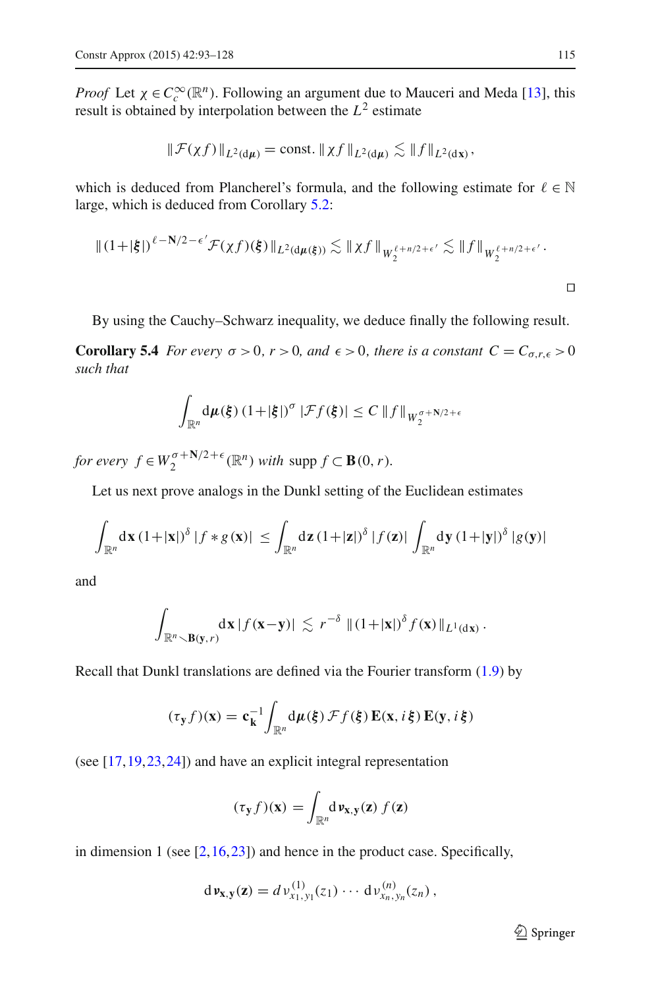*Proof* Let  $\chi \in C_c^{\infty}(\mathbb{R}^n)$ . Following an argument due to Mauceri and Meda [\[13](#page-35-14)], this result is obtained by interpolation between the *L*<sup>2</sup> estimate

$$
\|\mathcal{F}(\chi f)\|_{L^2(\mathrm{d}\mu)} = \mathrm{const.} \|\chi f\|_{L^2(\mathrm{d}\mu)} \lesssim \|f\|_{L^2(\mathrm{d}x)},
$$

which is deduced from Plancherel's formula, and the following estimate for  $\ell \in \mathbb{N}$ large, which is deduced from Corollary [5.2:](#page-21-2)

$$
\|(1+|\xi|)^{\ell-N/2-\epsilon'}\mathcal{F}(\chi f)(\xi)\|_{L^2(d\mu(\xi))} \lesssim \|\chi f\|_{W_2^{\ell+n/2+\epsilon'}} \lesssim \|f\|_{W_2^{\ell+n/2+\epsilon'}}.
$$

By using the Cauchy–Schwarz inequality, we deduce finally the following result.

**Corollary 5.4** *For every*  $\sigma > 0$ *,*  $r > 0$ *, and*  $\epsilon > 0$ *, there is a constant*  $C = C_{\sigma,r,\epsilon} > 0$ *such that*

<span id="page-22-0"></span>
$$
\int_{\mathbb{R}^n} d\mu(\xi) \left(1+|\xi|\right)^{\sigma} |\mathcal{F}f(\xi)| \leq C \|f\|_{W_2^{\sigma+N/2+\epsilon}}
$$

*for every*  $f \in W_2^{\sigma + \mathbf{N}/2 + \epsilon}(\mathbb{R}^n)$  *with* supp  $f \subset \mathbf{B}(0, r)$ *.* 

Let us next prove analogs in the Dunkl setting of the Euclidean estimates

$$
\int_{\mathbb{R}^n} d\mathbf{x} (1+|\mathbf{x}|)^{\delta} |f * g(\mathbf{x})| \leq \int_{\mathbb{R}^n} d\mathbf{z} (1+|\mathbf{z}|)^{\delta} |f(\mathbf{z})| \int_{\mathbb{R}^n} d\mathbf{y} (1+|\mathbf{y}|)^{\delta} |g(\mathbf{y})|
$$

and

$$
\int_{\mathbb{R}^n \setminus \mathbf{B}(\mathbf{y},r)} d\mathbf{x} |f(\mathbf{x}-\mathbf{y})| \lesssim r^{-\delta} ||(1+|\mathbf{x}|)^{\delta} f(\mathbf{x})||_{L^1(\mathrm{d}\mathbf{x})}.
$$

Recall that Dunkl translations are defined via the Fourier transform [\(1.9\)](#page-3-0) by

$$
(\tau_{\mathbf{y}}f)(\mathbf{x}) = \mathbf{c}_{\mathbf{k}}^{-1} \int_{\mathbb{R}^n} d\mu(\xi) \mathcal{F}f(\xi) \mathbf{E}(\mathbf{x}, i\xi) \mathbf{E}(\mathbf{y}, i\xi)
$$

(see [\[17,](#page-35-9)[19](#page-35-15)[,23](#page-35-16)[,24](#page-35-17)]) and have an explicit integral representation

$$
(\tau_{\mathbf{y}}f)(\mathbf{x}) = \int_{\mathbb{R}^n} d \nu_{\mathbf{x},\mathbf{y}}(\mathbf{z}) f(\mathbf{z})
$$

in dimension 1 (see  $[2,16,23]$  $[2,16,23]$  $[2,16,23]$  $[2,16,23]$ ) and hence in the product case. Specifically,

$$
d\nu_{\mathbf{x},\mathbf{y}}(\mathbf{z}) = d\nu_{x_1,y_1}^{(1)}(z_1)\cdots d\nu_{x_n,y_n}^{(n)}(z_n),
$$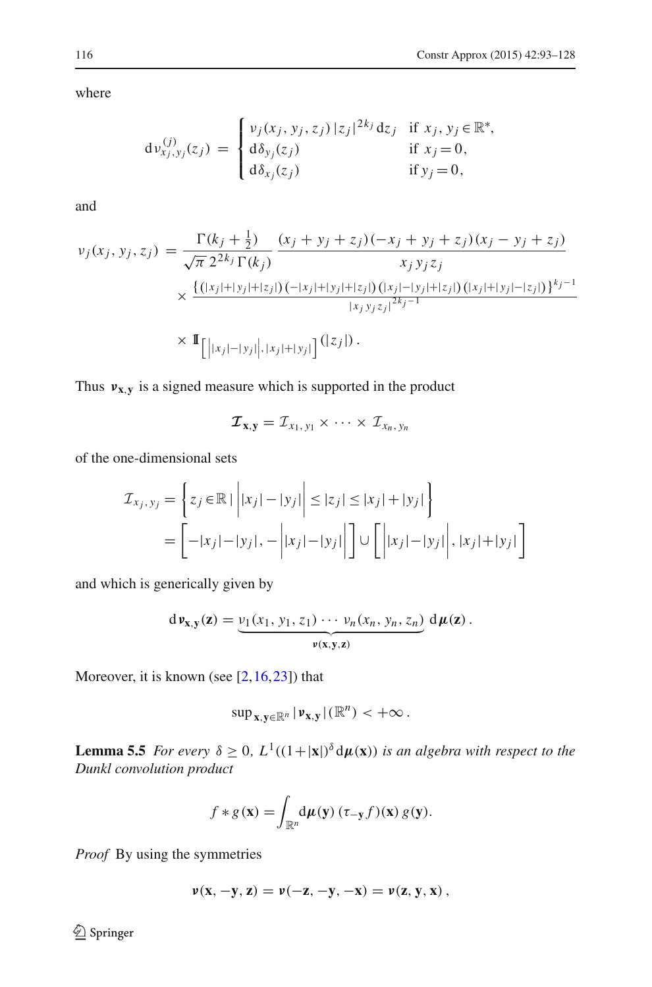where

$$
d\nu_{x_j, y_j}^{(j)}(z_j) = \begin{cases} \nu_j(x_j, y_j, z_j) |z_j|^{2k_j} dz_j & \text{if } x_j, y_j \in \mathbb{R}^*, \\ d\delta_{y_j}(z_j) & \text{if } x_j = 0, \\ d\delta_{x_j}(z_j) & \text{if } y_j = 0, \end{cases}
$$

and

$$
v_j(x_j, y_j, z_j) = \frac{\Gamma(k_j + \frac{1}{2})}{\sqrt{\pi} 2^{2k_j} \Gamma(k_j)} \frac{(x_j + y_j + z_j)(-x_j + y_j + z_j)(x_j - y_j + z_j)}{x_j y_j z_j} \times \frac{\{(|x_j| + |y_j| + |z_j|)(-|x_j| + |y_j| + |z_j|)(|x_j| - |y_j| + |z_j|)(|x_j| + |y_j| - |z_j|)\}^{k_j - 1}}{|x_j y_j z_j|^{2k_j - 1}}
$$
  
×  $\mathbb{I}_{\left[||x_j| - |y_j||, |x_j| + |y_j|\right]}(|z_j|).$ 

Thus  $v_{x,y}$  is a signed measure which is supported in the product

$$
\mathcal{I}_{\mathbf{x},\mathbf{y}}=\mathcal{I}_{x_1,\,y_1}\times\,\cdots\times\,\mathcal{I}_{x_n,\,y_n}
$$

of the one-dimensional sets

$$
\mathcal{I}_{x_j, y_j} = \left\{ z_j \in \mathbb{R} \mid \left| |x_j| - |y_j| \right| \le |z_j| \le |x_j| + |y_j| \right\}
$$

$$
= \left[ -|x_j| - |y_j|, -\left| |x_j| - |y_j| \right| \right] \cup \left[ \left| |x_j| - |y_j| \right|, |x_j| + |y_j| \right]
$$

and which is generically given by

$$
d\nu_{\mathbf{x},\mathbf{y}}(\mathbf{z}) = \underbrace{v_1(x_1, y_1, z_1) \cdots v_n(x_n, y_n, z_n)}_{\mathbf{y}(\mathbf{x},\mathbf{y},\mathbf{z})} d\mu(\mathbf{z}).
$$

Moreover, it is known (see  $[2, 16, 23]$  $[2, 16, 23]$  $[2, 16, 23]$  $[2, 16, 23]$ ) that

$$
\sup\nolimits_{x,y\in\mathbb{R}^n}|\nu_{x,y}|(\mathbb{R}^n)<+\infty.
$$

<span id="page-23-0"></span>**Lemma 5.5** *For every*  $\delta \geq 0$ ,  $L^1((1+|x|)^{\delta} d\mu(x))$  *is an algebra with respect to the Dunkl convolution product*

$$
f * g(\mathbf{x}) = \int_{\mathbb{R}^n} d\mu(\mathbf{y}) \left( \tau_{-\mathbf{y}} f\right)(\mathbf{x}) g(\mathbf{y}).
$$

*Proof* By using the symmetries

$$
\nu(x, -y, z) = \nu(-z, -y, -x) = \nu(z, y, x),
$$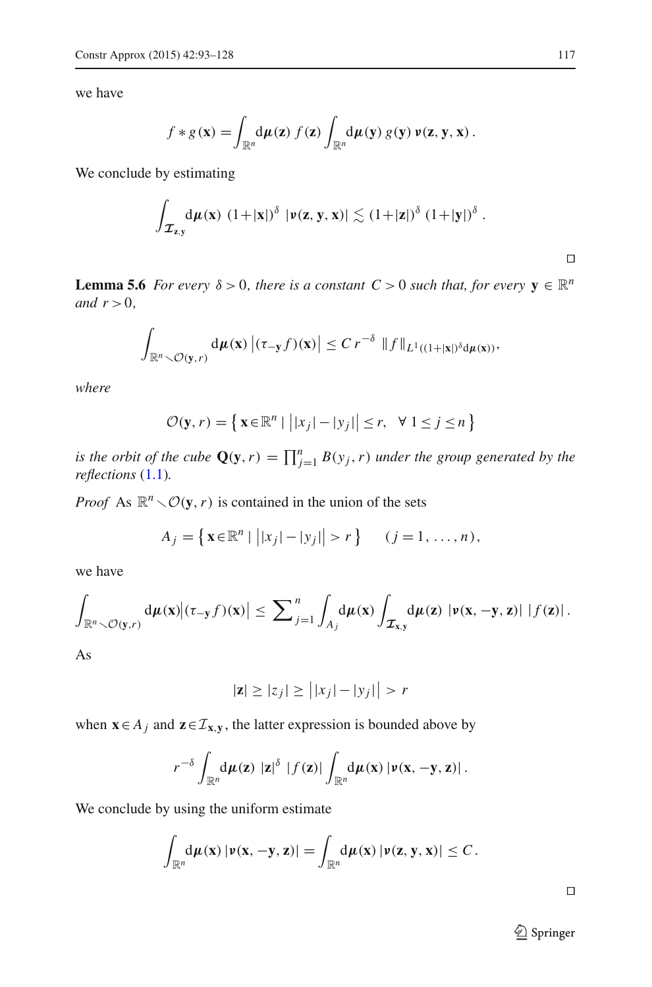we have

$$
f * g(\mathbf{x}) = \int_{\mathbb{R}^n} d\mu(\mathbf{z}) f(\mathbf{z}) \int_{\mathbb{R}^n} d\mu(\mathbf{y}) g(\mathbf{y}) \nu(\mathbf{z}, \mathbf{y}, \mathbf{x}).
$$

We conclude by estimating

$$
\int_{\mathcal{I}_{z,y}} d\mu(x) \ (1+|x|)^\delta \ |\nu(z,y,x)| \lesssim (1+|z|)^\delta \ (1+|y|)^\delta \ .
$$

<span id="page-24-0"></span>**Lemma 5.6** *For every*  $\delta > 0$ *, there is a constant*  $C > 0$  *such that, for every*  $y \in \mathbb{R}^n$ *and*  $r > 0$ *,* 

$$
\int_{\mathbb{R}^n \setminus \mathcal{O}(\mathbf{y},r)} d\mu(\mathbf{x}) \left| (\tau_{-\mathbf{y}}f)(\mathbf{x}) \right| \leq C r^{-\delta} \|f\|_{L^1((1+|\mathbf{x}|)^{\delta} d\mu(\mathbf{x}))},
$$

*where*

$$
\mathcal{O}(\mathbf{y}, r) = \left\{ \mathbf{x} \in \mathbb{R}^n \mid \left| |x_j| - |y_j| \right| \le r, \ \forall \ 1 \le j \le n \right\}
$$

*is the orbit of the cube*  $\mathbf{Q}(\mathbf{y}, r) = \prod_{j=1}^{n} B(y_j, r)$  *under the group generated by the reflections* [\(1.1\)](#page-1-1)*.*

*Proof* As  $\mathbb{R}^n \setminus \mathcal{O}(\mathbf{y}, r)$  is contained in the union of the sets

$$
A_j = \{ \mathbf{x} \in \mathbb{R}^n \mid | |x_j| - |y_j| | > r \} \qquad (j = 1, \dots, n),
$$

we have

$$
\int_{\mathbb{R}^n\setminus\mathcal{O}(\mathbf{y},r)}\mathrm{d}\mu(\mathbf{x})\big|(\tau_{-\mathbf{y}}f)(\mathbf{x})\big|\leq \sum_{j=1}^n\int_{A_j}\mathrm{d}\mu(\mathbf{x})\int_{\mathcal{I}_{\mathbf{x},\mathbf{y}}}\mathrm{d}\mu(\mathbf{z})\,|\nu(\mathbf{x},-\mathbf{y},\mathbf{z})|\,\left|f(\mathbf{z})\right|.
$$

As

$$
|\mathbf{z}| \ge |z_j| \ge \left| |x_j| - |y_j| \right| > r
$$

when **x**∈ *A<sub>j</sub>* and **z**∈*I*<sub>**x**,**y**</sub>, the latter expression is bounded above by

$$
r^{-\delta}\int_{\mathbb{R}^n}\!\mathrm{d}\mu(\mathbf{z})\,\left|\mathbf{z}\right|^{\delta}\,\left|f(\mathbf{z})\right|\int_{\mathbb{R}^n}\!\mathrm{d}\mu(\mathbf{x})\left|\nu(\mathbf{x},-\mathbf{y},\mathbf{z})\right|.
$$

We conclude by using the uniform estimate

$$
\int_{\mathbb{R}^n} d\mu(\mathbf{x}) |\nu(\mathbf{x}, -\mathbf{y}, \mathbf{z})| = \int_{\mathbb{R}^n} d\mu(\mathbf{x}) |\nu(\mathbf{z}, \mathbf{y}, \mathbf{x})| \leq C.
$$

 $\Box$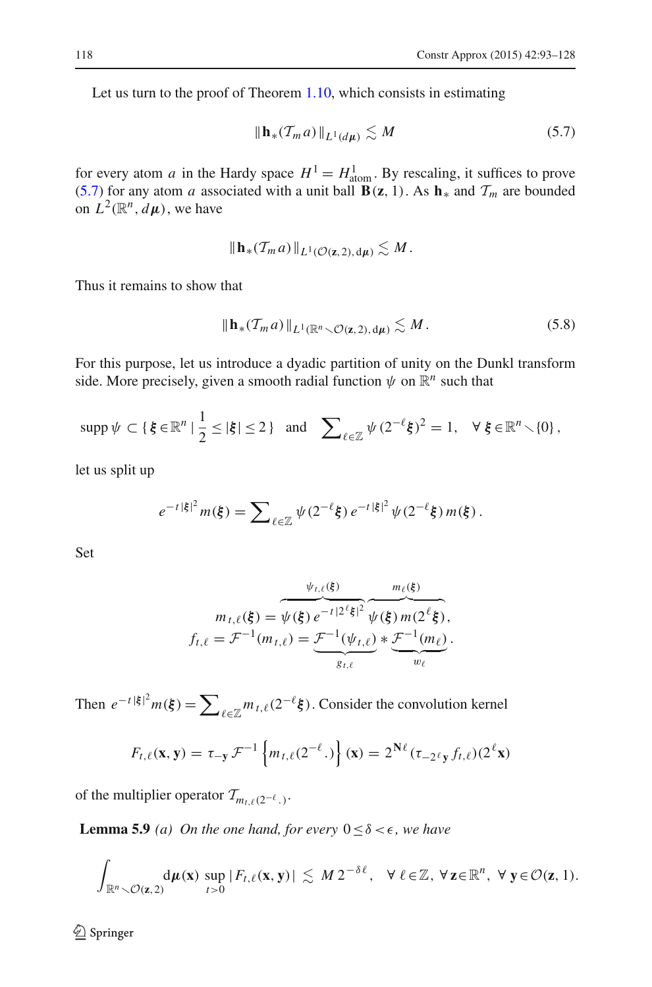<span id="page-25-0"></span>Let us turn to the proof of Theorem [1.10,](#page-4-1) which consists in estimating

$$
\|\mathbf{h}_*(\mathcal{T}_m a)\|_{L^1(d\mu)} \lesssim M \tag{5.7}
$$

for every atom *a* in the Hardy space  $H^1 = H^1_{\text{atom}}$ . By rescaling, it suffices to prove [\(5.7\)](#page-25-0) for any atom *a* associated with a unit ball  $\mathbf{B}(\mathbf{z}, 1)$ . As  $\mathbf{h}_*$  and  $\mathcal{T}_m$  are bounded on  $L^2(\mathbb{R}^n, d\mu)$ , we have

$$
\|\mathbf{h}_{*}(\mathcal{T}_{m}a)\|_{L^{1}(\mathcal{O}(\mathbf{z},2),\mathrm{d}\mu)}\lesssim M.
$$

<span id="page-25-1"></span>Thus it remains to show that

$$
\|\mathbf{h}_*(\mathcal{T}_m a)\|_{L^1(\mathbb{R}^n\setminus\mathcal{O}(\mathbf{z},2),\,\mathrm{d}\mu)} \lesssim M\,. \tag{5.8}
$$

For this purpose, let us introduce a dyadic partition of unity on the Dunkl transform side. More precisely, given a smooth radial function  $\psi$  on  $\mathbb{R}^n$  such that

$$
\operatorname{supp}\psi\subset\{\xi\in\mathbb{R}^n\mid\frac{1}{2}\leq|\xi|\leq 2\}\quad\text{and}\quad\sum_{\ell\in\mathbb{Z}}\psi(2^{-\ell}\xi)^2=1,\quad\forall\ \xi\in\mathbb{R}^n\smallsetminus\{0\}\,,
$$

let us split up

$$
e^{-t|\xi|^2}m(\xi) = \sum_{\ell \in \mathbb{Z}} \psi(2^{-\ell}\xi) e^{-t|\xi|^2} \psi(2^{-\ell}\xi) m(\xi).
$$

Set

$$
m_{t,\ell}(\xi) = \overbrace{\psi_{t,\ell}(\xi)}^{w_{t,\ell}(\xi)} \overbrace{\psi(\xi) m(2^{\ell}\xi)}^{m_{\ell}(\xi)},
$$
  

$$
f_{t,\ell} = \mathcal{F}^{-1}(m_{t,\ell}) = \underbrace{\mathcal{F}^{-1}(\psi_{t,\ell})}_{g_{t,\ell}} * \underbrace{\mathcal{F}^{-1}(m_{\ell})}_{w_{\ell}}.
$$

Then  $e^{-t |\xi|^2} m(\xi) = \sum_{\ell \in \mathbb{Z}} m_{\ell,\ell}(2^{-\ell} \xi)$ . Consider the convolution kernel

$$
F_{t,\ell}(\mathbf{x}, \mathbf{y}) = \tau_{-\mathbf{y}} \mathcal{F}^{-1} \left\{ m_{t,\ell}(2^{-\ell}.) \right\}(\mathbf{x}) = 2^{\mathbf{N}\ell} (\tau_{-2^{\ell} \mathbf{y}} f_{t,\ell}) (2^{\ell} \mathbf{x})
$$

<span id="page-25-2"></span>of the multiplier operator  $\mathcal{T}_{m_{t},(\ell2^{-\ell})}$ .

**Lemma 5.9** *(a) On the one hand, for every*  $0 \le \delta < \epsilon$ *, we have* 

$$
\int_{\mathbb{R}^n\setminus\mathcal{O}(\mathbf{z},2)}\mathrm{d}\mu(\mathbf{x})\,\sup_{t>0}|F_{t,\ell}(\mathbf{x},\mathbf{y})|\,\lesssim\,M\,2^{-\delta\ell},\quad\forall\,\ell\in\mathbb{Z},\,\forall\,\mathbf{z}\in\mathbb{R}^n,\,\,\forall\,\mathbf{y}\in\mathcal{O}(\mathbf{z},1).
$$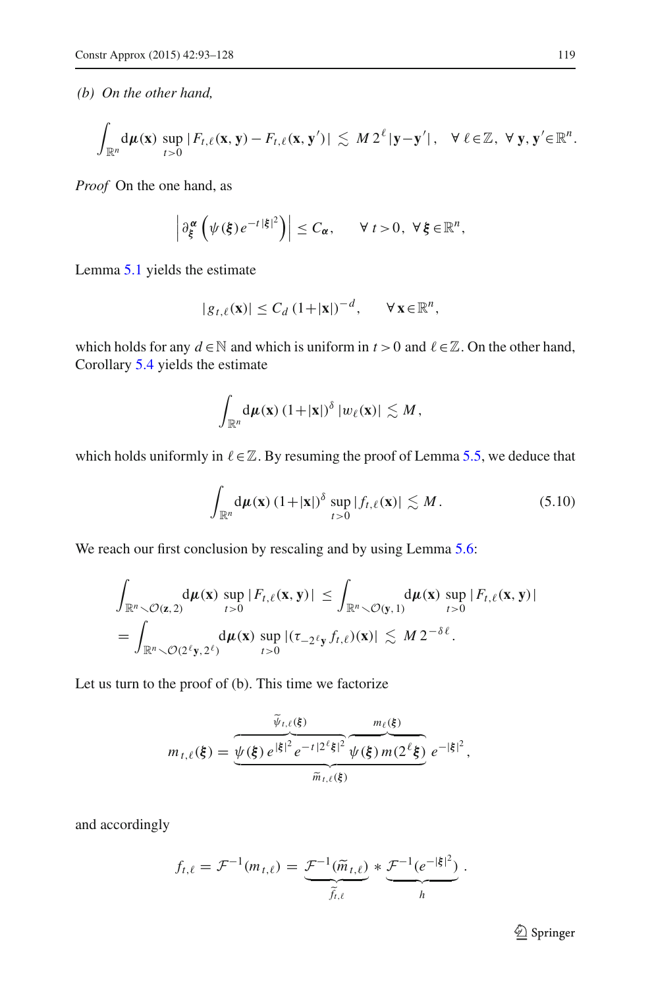*(b) On the other hand,*

$$
\int_{\mathbb{R}^n} d\mu(\mathbf{x}) \sup_{t>0} |F_{t,\ell}(\mathbf{x},\mathbf{y}) - F_{t,\ell}(\mathbf{x},\mathbf{y}')| \lesssim M 2^{\ell} |\mathbf{y}-\mathbf{y}'|, \quad \forall \ell \in \mathbb{Z}, \ \forall \mathbf{y},\mathbf{y}' \in \mathbb{R}^n.
$$

*Proof* On the one hand, as

$$
\left|\partial_{\xi}^{\alpha}\left(\psi(\xi)e^{-t|\xi|^{2}}\right)\right|\leq C_{\alpha}, \qquad \forall t>0, \ \forall \xi\in\mathbb{R}^{n},
$$

Lemma [5.1](#page-21-1) yields the estimate

$$
|g_{t,\ell}(\mathbf{x})| \leq C_d \left(1+|\mathbf{x}|\right)^{-d}, \qquad \forall \mathbf{x} \in \mathbb{R}^n,
$$

which holds for any  $d \in \mathbb{N}$  and which is uniform in  $t > 0$  and  $\ell \in \mathbb{Z}$ . On the other hand, Corollary [5.4](#page-22-0) yields the estimate

$$
\int_{\mathbb{R}^n} d\mu(\mathbf{x}) \left(1+|\mathbf{x}|\right)^{\delta} |w_{\ell}(\mathbf{x})| \lesssim M,
$$

<span id="page-26-0"></span>which holds uniformly in  $\ell \in \mathbb{Z}$ . By resuming the proof of Lemma [5.5,](#page-23-0) we deduce that

$$
\int_{\mathbb{R}^n} d\mu(\mathbf{x}) \left(1+|\mathbf{x}|\right)^{\delta} \sup_{t>0} |f_{t,\ell}(\mathbf{x})| \lesssim M. \tag{5.10}
$$

We reach our first conclusion by rescaling and by using Lemma [5.6:](#page-24-0)

$$
\int_{\mathbb{R}^n \setminus \mathcal{O}(\mathbf{z},2)} d\mu(\mathbf{x}) \sup_{t>0} |F_{t,\ell}(\mathbf{x},\mathbf{y})| \leq \int_{\mathbb{R}^n \setminus \mathcal{O}(\mathbf{y},1)} d\mu(\mathbf{x}) \sup_{t>0} |F_{t,\ell}(\mathbf{x},\mathbf{y})|
$$
\n
$$
= \int_{\mathbb{R}^n \setminus \mathcal{O}(2^{\ell}\mathbf{y},2^{\ell})} d\mu(\mathbf{x}) \sup_{t>0} |(\tau_{-2^{\ell}\mathbf{y}} f_{t,\ell})(\mathbf{x})| \lesssim M 2^{-\delta \ell}.
$$

Let us turn to the proof of (b). This time we factorize

$$
m_{t,\ell}(\xi) = \underbrace{\overbrace{\psi(\xi) e^{\left|\xi\right|^{2}} e^{-t\left|2^{\ell}\xi\right|^{2}} \overbrace{\psi(\xi) m(2^{\ell}\xi)}^{m_{\ell}(\xi)}}_{\widetilde{m}_{t,\ell}(\xi)} e^{-\left|\xi\right|^{2}},
$$

and accordingly

$$
f_{t,\ell} = \mathcal{F}^{-1}(m_{t,\ell}) = \underbrace{\mathcal{F}^{-1}(\widetilde{m}_{t,\ell})}_{\widetilde{f}_{t,\ell}} * \underbrace{\mathcal{F}^{-1}(e^{-|\xi|^2})}_{h}.
$$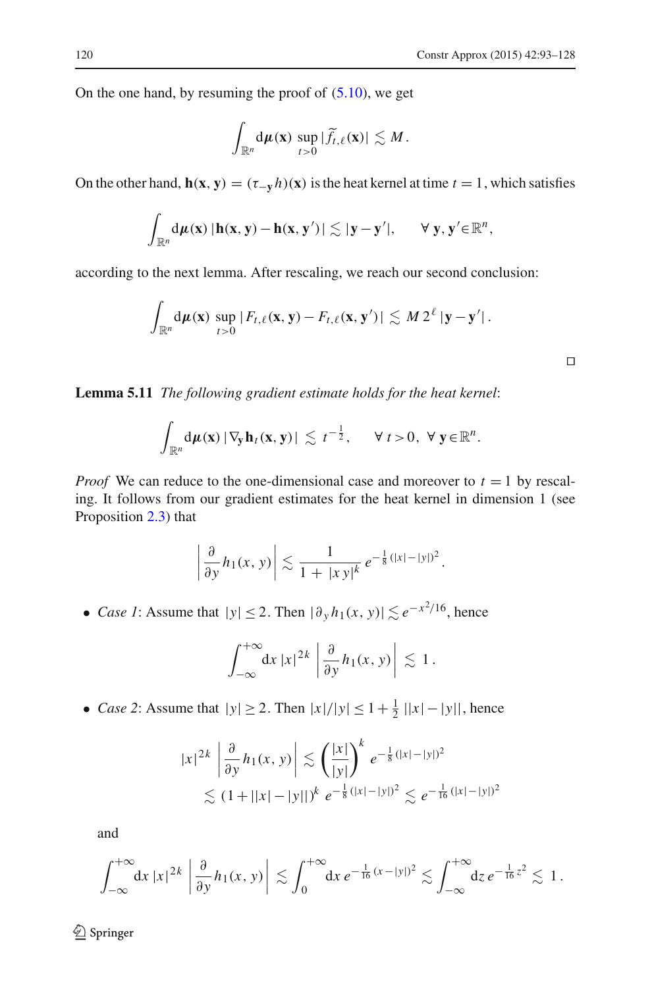On the one hand, by resuming the proof of  $(5.10)$ , we get

$$
\int_{\mathbb{R}^n} d\mu(\mathbf{x}) \sup_{t>0} |\widetilde{f}_{t,\ell}(\mathbf{x})| \lesssim M.
$$

On the other hand,  $h(x, y) = (\tau_{-y} h)(x)$  is the heat kernel at time  $t = 1$ , which satisfies

$$
\int_{\mathbb{R}^n} d\mu(\mathbf{x}) |\mathbf{h}(\mathbf{x}, \mathbf{y}) - \mathbf{h}(\mathbf{x}, \mathbf{y}')| \lesssim |\mathbf{y} - \mathbf{y}'|, \quad \forall \mathbf{y}, \mathbf{y}' \in \mathbb{R}^n,
$$

according to the next lemma. After rescaling, we reach our second conclusion:

$$
\int_{\mathbb{R}^n} d\mu(\mathbf{x}) \sup_{t>0} |F_{t,\ell}(\mathbf{x}, \mathbf{y}) - F_{t,\ell}(\mathbf{x}, \mathbf{y}')| \lesssim M 2^{\ell} |\mathbf{y} - \mathbf{y}'|.
$$

**Lemma 5.11** *The following gradient estimate holds for the heat kernel*:

$$
\int_{\mathbb{R}^n} d\mu(\mathbf{x}) \left| \nabla_{\mathbf{y}} \mathbf{h}_t(\mathbf{x}, \mathbf{y}) \right| \lesssim t^{-\frac{1}{2}}, \quad \forall t > 0, \ \forall \mathbf{y} \in \mathbb{R}^n.
$$

*Proof* We can reduce to the one-dimensional case and moreover to  $t = 1$  by rescaling. It follows from our gradient estimates for the heat kernel in dimension 1 (see Proposition [2.3\)](#page-6-1) that

$$
\left|\frac{\partial}{\partial y}h_1(x, y)\right| \lesssim \frac{1}{1+|xy|^k} e^{-\frac{1}{8}(|x|-|y|)^2}.
$$

• *Case 1*: Assume that  $|y| \le 2$ . Then  $|\partial_y h_1(x, y)| \lesssim e^{-x^2/16}$ , hence

$$
\int_{-\infty}^{+\infty} dx \, |x|^{2k} \left| \frac{\partial}{\partial y} h_1(x, y) \right| \lesssim 1.
$$

• *Case 2*: Assume that  $|y| \ge 2$ . Then  $|x|/|y| \le 1 + \frac{1}{2} ||x| - |y||$ , hence

$$
|x|^{2k} \left| \frac{\partial}{\partial y} h_1(x, y) \right| \lesssim \left( \frac{|x|}{|y|} \right)^k e^{-\frac{1}{8} (|x| - |y|)^2}
$$
  
 
$$
\lesssim (1 + ||x| - |y||)^k e^{-\frac{1}{8} (|x| - |y|)^2} \lesssim e^{-\frac{1}{16} (|x| - |y|)^2}
$$

and

$$
\int_{-\infty}^{+\infty} \mathrm{d} x \, |x|^{2k} \, \left| \frac{\partial}{\partial y} h_1(x, y) \right| \lesssim \int_0^{+\infty} \mathrm{d} x \, e^{-\frac{1}{16} (x - |y|)^2} \lesssim \int_{-\infty}^{+\infty} \mathrm{d} z \, e^{-\frac{1}{16} z^2} \lesssim 1 \, .
$$

<sup>2</sup> Springer

 $\overline{a}$ 

 $\Box$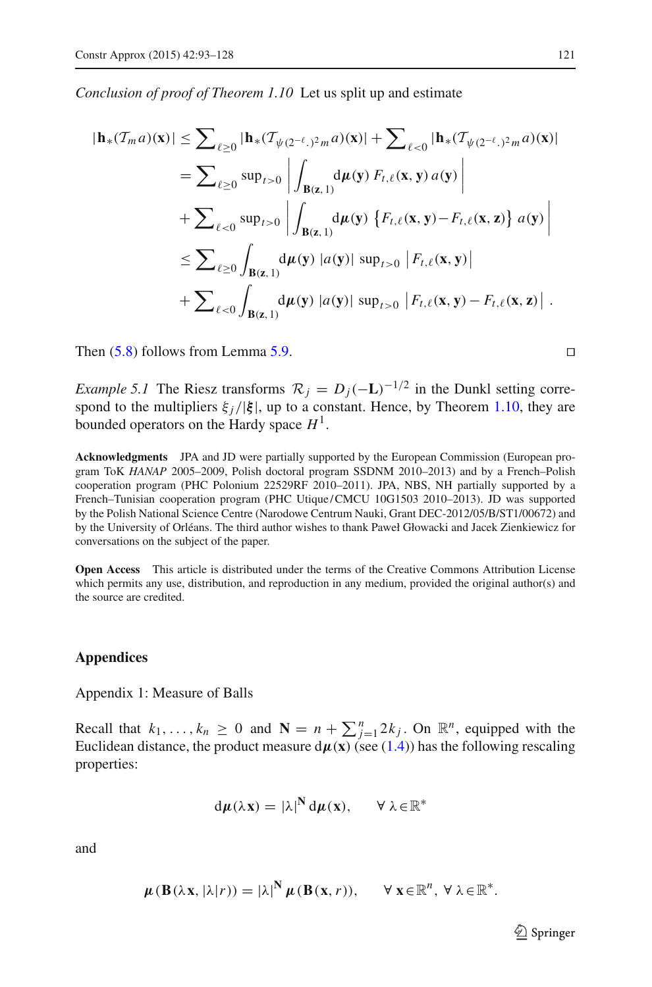*Conclusion of proof of Theorem 1.10* Let us split up and estimate

$$
|\mathbf{h}_{*}(\mathcal{T}_{m} a)(\mathbf{x})| \leq \sum_{\ell \geq 0} |\mathbf{h}_{*}(\mathcal{T}_{\psi(2^{-\ell},2^{2}m} a)(\mathbf{x})| + \sum_{\ell < 0} |\mathbf{h}_{*}(\mathcal{T}_{\psi(2^{-\ell},2^{2}m} a)(\mathbf{x})|
$$
\n
$$
= \sum_{\ell \geq 0} \sup_{t > 0} \left| \int_{\mathbf{B}(\mathbf{z},1)} d\mu(\mathbf{y}) F_{t,\ell}(\mathbf{x}, \mathbf{y}) a(\mathbf{y}) \right|
$$
\n
$$
+ \sum_{\ell < 0} \sup_{t > 0} \left| \int_{\mathbf{B}(\mathbf{z},1)} d\mu(\mathbf{y}) \left\{ F_{t,\ell}(\mathbf{x}, \mathbf{y}) - F_{t,\ell}(\mathbf{x}, \mathbf{z}) \right\} a(\mathbf{y}) \right|
$$
\n
$$
\leq \sum_{\ell \geq 0} \int_{\mathbf{B}(\mathbf{z},1)} d\mu(\mathbf{y}) |a(\mathbf{y})| \sup_{t > 0} |F_{t,\ell}(\mathbf{x}, \mathbf{y})|
$$
\n
$$
+ \sum_{\ell < 0} \int_{\mathbf{B}(\mathbf{z},1)} d\mu(\mathbf{y}) |a(\mathbf{y})| \sup_{t > 0} |F_{t,\ell}(\mathbf{x}, \mathbf{y}) - F_{t,\ell}(\mathbf{x}, \mathbf{z})|.
$$

Then  $(5.8)$  follows from Lemma [5.9.](#page-25-2)

*Example 5.1* The Riesz transforms  $\mathcal{R}_i = D_i(-L)^{-1/2}$  in the Dunkl setting correspond to the multipliers  $\xi_i/|\xi|$ , up to a constant. Hence, by Theorem [1.10,](#page-4-1) they are bounded operators on the Hardy space *H*1.

**Acknowledgments** JPA and JD were partially supported by the European Commission (European program ToK *HANAP* 2005–2009, Polish doctoral program SSDNM 2010–2013) and by a French–Polish cooperation program (PHC Polonium 22529RF 2010–2011). JPA, NBS, NH partially supported by a French–Tunisian cooperation program (PHC Utique/CMCU 10G1503 2010–2013). JD was supported by the Polish National Science Centre (Narodowe Centrum Nauki, Grant DEC-2012/05/B/ST1/00672) and by the University of Orléans. The third author wishes to thank Paweł Głowacki and Jacek Zienkiewicz for conversations on the subject of the paper.

<span id="page-28-0"></span>**Open Access** This article is distributed under the terms of the Creative Commons Attribution License which permits any use, distribution, and reproduction in any medium, provided the original author(s) and the source are credited.

#### **Appendices**

Appendix 1: Measure of Balls

Recall that  $k_1, \ldots, k_n \geq 0$  and  $\mathbf{N} = n + \sum_{j=1}^n 2k_j$ . On  $\mathbb{R}^n$ , equipped with the Euclidean distance, the product measure  $d\mu(x)$  (see [\(1.4\)](#page-2-2)) has the following rescaling properties:

$$
d\mu(\lambda x) = |\lambda|^N d\mu(x), \quad \forall \lambda \in \mathbb{R}^*
$$

and

$$
\boldsymbol{\mu}(\mathbf{B}(\lambda \mathbf{x}, |\lambda| r)) = |\lambda|^{\mathbf{N}} \boldsymbol{\mu}(\mathbf{B}(\mathbf{x}, r)), \qquad \forall \mathbf{x} \in \mathbb{R}^n, \ \forall \ \lambda \in \mathbb{R}^*.
$$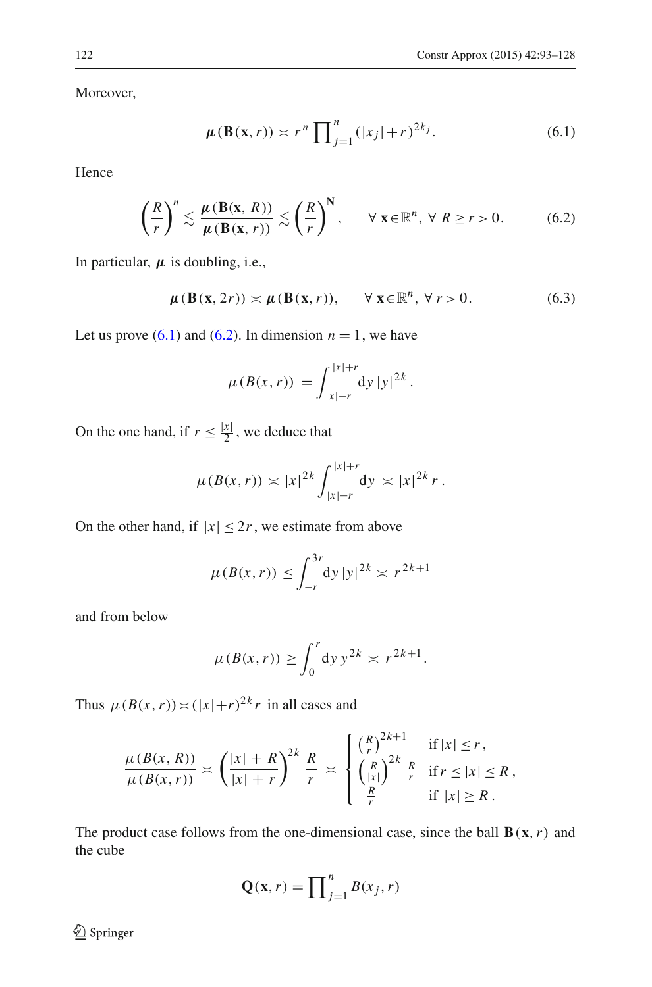<span id="page-29-1"></span>Moreover,

$$
\mu(\mathbf{B}(\mathbf{x},r)) \asymp r^n \prod_{j=1}^n (|x_j|+r)^{2k_j}.
$$
 (6.1)

Hence

$$
\left(\frac{R}{r}\right)^n \lesssim \frac{\mu(\mathbf{B}(\mathbf{x}, R))}{\mu(\mathbf{B}(\mathbf{x}, r))} \lesssim \left(\frac{R}{r}\right)^N, \qquad \forall \ \mathbf{x} \in \mathbb{R}^n, \ \forall \ R \ge r > 0. \tag{6.2}
$$

<span id="page-29-0"></span>In particular,  $\mu$  is doubling, i.e.,

$$
\mu(\mathbf{B}(\mathbf{x}, 2r)) \asymp \mu(\mathbf{B}(\mathbf{x}, r)), \qquad \forall \mathbf{x} \in \mathbb{R}^n, \forall r > 0.
$$
 (6.3)

Let us prove  $(6.1)$  and  $(6.2)$ . In dimension  $n = 1$ , we have

$$
\mu(B(x,r)) = \int_{|x|-r}^{|x|+r} dy \, |y|^{2k}.
$$

On the one hand, if  $r \leq \frac{|x|}{2}$ , we deduce that

$$
\mu(B(x,r)) \asymp |x|^{2k} \int_{|x|=r}^{|x|+r} dy \asymp |x|^{2k} r.
$$

On the other hand, if  $|x| \leq 2r$ , we estimate from above

$$
\mu(B(x,r)) \le \int_{-r}^{3r} dy \, |y|^{2k} \asymp r^{2k+1}
$$

and from below

$$
\mu(B(x,r)) \ge \int_0^r dy y^{2k} \approx r^{2k+1}.
$$

Thus  $\mu(B(x, r)) \asymp (|x|+r)^{2k} r$  in all cases and

$$
\frac{\mu(B(x,R))}{\mu(B(x,r))} \asymp \left(\frac{|x|+R}{|x|+r}\right)^{2k} \frac{R}{r} \asymp \begin{cases} \left(\frac{R}{r}\right)^{2k+1} & \text{if } |x| \leq r, \\ \left(\frac{R}{|x|}\right)^{2k} \frac{R}{r} & \text{if } r \leq |x| \leq R, \\ \frac{R}{r} & \text{if } |x| \geq R. \end{cases}
$$

The product case follows from the one-dimensional case, since the ball  $\mathbf{B}(\mathbf{x},r)$  and the cube

$$
\mathbf{Q}(\mathbf{x}, r) = \prod_{j=1}^{n} B(x_j, r)
$$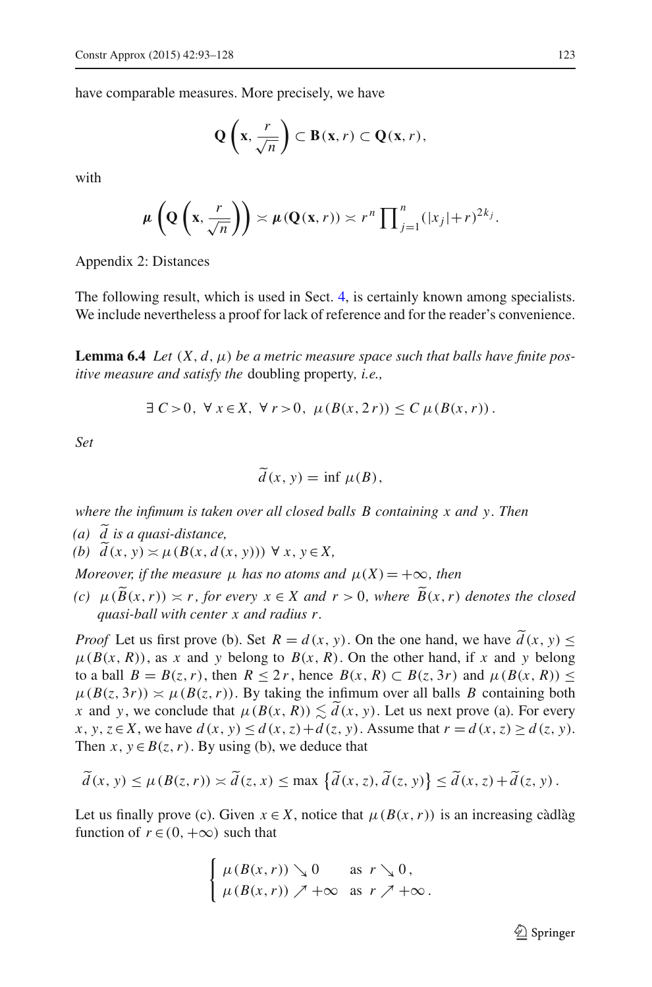have comparable measures. More precisely, we have

$$
Q\left(x,\frac{r}{\sqrt{n}}\right) \subset B(x,r) \subset Q(x,r),
$$

with

$$
\mu\left(\mathbf{Q}\left(\mathbf{x},\frac{r}{\sqrt{n}}\right)\right) \asymp \mu\left(\mathbf{Q}(\mathbf{x},r)\right) \asymp r^n \prod_{j=1}^n (|x_j|+r)^{2k_j}.
$$

Appendix 2: Distances

The following result, which is used in Sect. [4,](#page-19-0) is certainly known among specialists. We include nevertheless a proof for lack of reference and for the reader's convenience.

<span id="page-30-0"></span>**Lemma 6.4** *Let*  $(X, d, \mu)$  *be a metric measure space such that balls have finite positive measure and satisfy the* doubling property*, i.e.,*

$$
\exists C > 0, \forall x \in X, \forall r > 0, \mu(B(x, 2r)) \le C \mu(B(x, r)).
$$

*Set*

$$
\widetilde{d}(x, y) = \inf \mu(B),
$$

*where the infimum is taken over all closed balls B containing x and y. Then*

*(a) d is a quasi-distance,*

*(b)*  $d(x, y) \asymp \mu(B(x, d(x, y)))$  ∀ *x*, *y*∈ *X*,

*Moreover, if the measure*  $\mu$  *has no atoms and*  $\mu(X) = +\infty$ *, then* 

*(c)*  $\mu(\widetilde{B}(x,r)) \simeq r$ , for every  $x \in X$  and  $r > 0$ , where  $\widetilde{B}(x,r)$  denotes the closed *quasi-ball with center x and radius r.*

*Proof* Let us first prove (b). Set  $R = d(x, y)$ . On the one hand, we have  $d(x, y) \leq$  $\mu(B(x, R))$ , as *x* and *y* belong to  $B(x, R)$ . On the other hand, if *x* and *y* belong to a ball  $B = B(z, r)$ , then  $R \le 2r$ , hence  $B(x, R) \subset B(z, 3r)$  and  $\mu(B(x, R)) \le$  $\mu(B(z, 3r)) \approx \mu(B(z, r))$ . By taking the infimum over all balls *B* containing both *x* and *y*, we conclude that  $\mu(B(x, R)) \lesssim d(x, y)$ . Let us next prove (a). For every *x*, *y*, *z*∈ *X*, we have  $d(x, y) ≤ d(x, z) + d(z, y)$ . Assume that  $r = d(x, z) ≥ d(z, y)$ . Then  $x, y \in B(z, r)$ . By using (b), we deduce that

$$
\widetilde{d}(x, y) \le \mu(B(z, r)) \asymp \widetilde{d}(z, x) \le \max \left\{ \widetilde{d}(x, z), \widetilde{d}(z, y) \right\} \le \widetilde{d}(x, z) + \widetilde{d}(z, y).
$$

Let us finally prove (c). Given  $x \in X$ , notice that  $\mu(B(x, r))$  is an increasing càdlàg function of  $r \in (0, +\infty)$  such that

$$
\begin{cases} \mu(B(x,r)) \searrow 0 & \text{as } r \searrow 0, \\ \mu(B(x,r)) \nearrow +\infty & \text{as } r \nearrow +\infty. \end{cases}
$$

 $\mathcal{D}$  Springer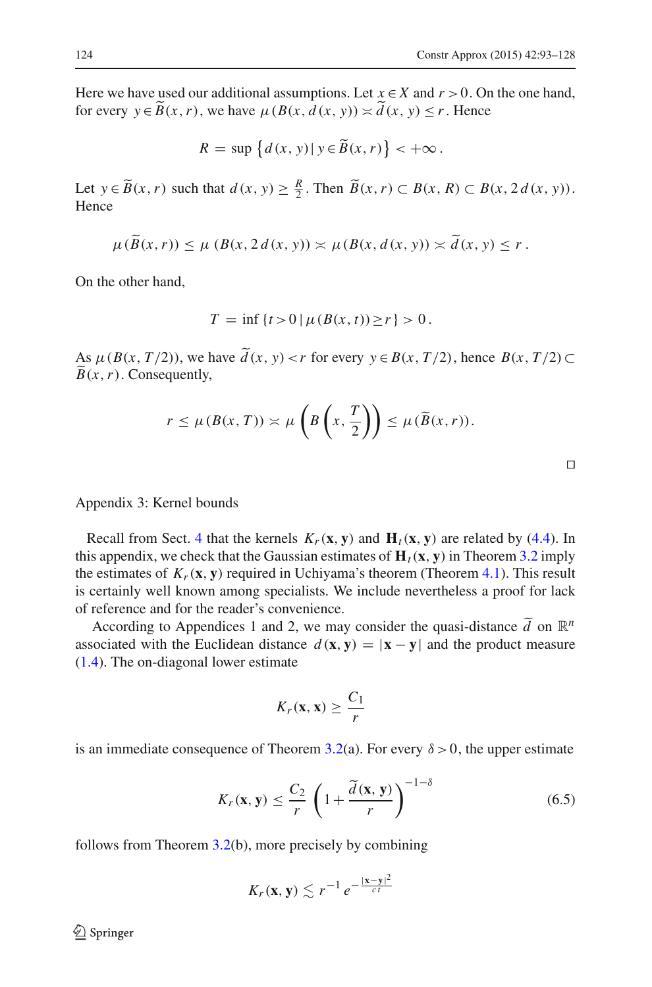Here we have used our additional assumptions. Let  $x \in X$  and  $r > 0$ . On the one hand, for every  $y \in B(x, r)$ , we have  $\mu(B(x, d(x, y)) \asymp d(x, y) \le r$ . Hence

$$
R = \sup \left\{ d(x, y) \, | \, y \in \widetilde{B}(x, r) \right\} < +\infty \, .
$$

Let  $y \in \widetilde{B}(x, r)$  such that  $d(x, y) \ge \frac{R}{2}$ . Then  $\widetilde{B}(x, r) \subset B(x, R) \subset B(x, 2d(x, y))$ . Hence

$$
\mu(B(x,r)) \leq \mu(B(x,2d(x,y)) \approx \mu(B(x,d(x,y)) \approx d(x,y) \leq r.
$$

On the other hand,

$$
T = \inf \{ t > 0 \mid \mu(B(x, t)) \ge r \} > 0.
$$

As  $\mu(B(x, T/2))$ , we have  $d(x, y) < r$  for every  $y \in B(x, T/2)$ , hence  $B(x, T/2) \subset \tilde{B}(x, n)$ . Consequently,  $B(x, r)$ . Consequently,

$$
r \leq \mu(B(x,T)) \asymp \mu\left(B\left(x,\frac{T}{2}\right)\right) \leq \mu(\widetilde{B}(x,r)).
$$

Appendix 3: Kernel bounds

Recall from Sect. [4](#page-19-0) that the kernels  $K_r(\mathbf{x}, \mathbf{y})$  and  $\mathbf{H}_t(\mathbf{x}, \mathbf{y})$  are related by [\(4.4\)](#page-20-0). In this appendix, we check that the Gaussian estimates of  $H_t(x, y)$  in Theorem [3.2](#page-15-2) imply the estimates of  $K_r(\mathbf{x}, \mathbf{y})$  required in Uchiyama's theorem (Theorem [4.1\)](#page-19-3). This result is certainly well known among specialists. We include nevertheless a proof for lack of reference and for the reader's convenience.

According to Appendices 1 and 2, we may consider the quasi-distance  $\tilde{d}$  on  $\mathbb{R}^n$ associated with the Euclidean distance  $d(x, y) = |x - y|$  and the product measure [\(1.4\)](#page-2-2). The on-diagonal lower estimate

$$
K_r(\mathbf{x}, \mathbf{x}) \geq \frac{C_1}{r}
$$

<span id="page-31-0"></span>is an immediate consequence of Theorem [3.2\(](#page-15-2)a). For every  $\delta > 0$ , the upper estimate

$$
K_r(\mathbf{x}, \mathbf{y}) \le \frac{C_2}{r} \left( 1 + \frac{\tilde{d}(\mathbf{x}, \mathbf{y})}{r} \right)^{-1-\delta} \tag{6.5}
$$

follows from Theorem [3.2\(](#page-15-2)b), more precisely by combining

$$
K_r(\mathbf{x}, \mathbf{y}) \lesssim r^{-1} e^{-\frac{|\mathbf{x} - \mathbf{y}|^2}{ct}}
$$

 $\Box$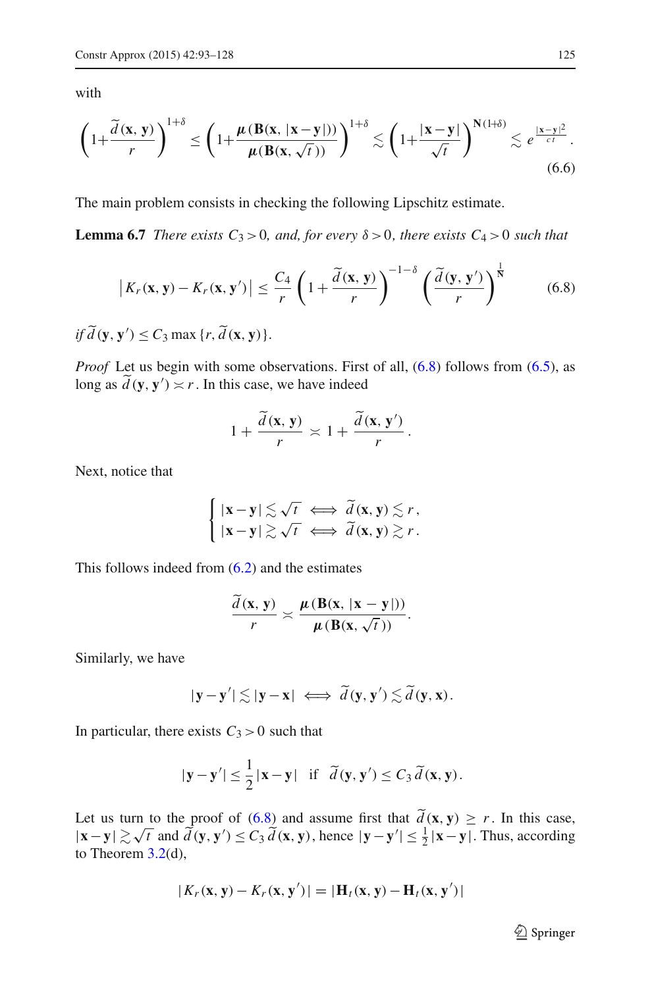with

<span id="page-32-1"></span>
$$
\left(1+\frac{\widetilde{d}\left(\mathbf{x},\,\mathbf{y}\right)}{r}\right)^{1+\delta}\leq\left(1+\frac{\mu\left(\mathbf{B}(\mathbf{x},\,\left|\mathbf{x}-\mathbf{y}\right|\right))}{\mu\left(\mathbf{B}(\mathbf{x},\,\sqrt{t}\,)\right)}\right)^{1+\delta}\lesssim\left(1+\frac{\left|\mathbf{x}-\mathbf{y}\right|}{\sqrt{t}}\right)^{\mathbf{N}\left(1+\delta\right)}\lesssim e^{\frac{\left|\mathbf{x}-\mathbf{y}\right|^{2}}{ct}}.\tag{6.6}
$$

<span id="page-32-2"></span>The main problem consists in checking the following Lipschitz estimate.

<span id="page-32-0"></span>**Lemma 6.7** *There exists*  $C_3 > 0$ *, and, for every*  $\delta > 0$ *, there exists*  $C_4 > 0$  *such that* 

$$
\left| K_r(\mathbf{x}, \mathbf{y}) - K_r(\mathbf{x}, \mathbf{y}') \right| \le \frac{C_4}{r} \left( 1 + \frac{\tilde{d}(\mathbf{x}, \mathbf{y})}{r} \right)^{-1-\delta} \left( \frac{\tilde{d}(\mathbf{y}, \mathbf{y}')}{r} \right)^{\frac{1}{N}} \tag{6.8}
$$

*if*  $d$  (**y**, **y**')  $\leq C_3$  max {*r*,  $d$  (**x**, **y**)}.

*Proof* Let us begin with some observations. First of all,  $(6.8)$  follows from  $(6.5)$ , as long as  $d(\mathbf{y}, \mathbf{y}') \approx r$ . In this case, we have indeed

$$
1+\frac{\widetilde{d}(\mathbf{x},\mathbf{y})}{r}\asymp 1+\frac{\widetilde{d}(\mathbf{x},\mathbf{y}')}{r}.
$$

Next, notice that

$$
\begin{cases} |\mathbf{x} - \mathbf{y}| \lesssim \sqrt{t} & \Longleftrightarrow \widetilde{d}(\mathbf{x}, \mathbf{y}) \lesssim r, \\ |\mathbf{x} - \mathbf{y}| \gtrsim \sqrt{t} & \Longleftrightarrow \widetilde{d}(\mathbf{x}, \mathbf{y}) \gtrsim r. \end{cases}
$$

This follows indeed from  $(6.2)$  and the estimates

$$
\frac{d(\mathbf{x}, \mathbf{y})}{r} \approx \frac{\mu(\mathbf{B}(\mathbf{x}, |\mathbf{x} - \mathbf{y}|))}{\mu(\mathbf{B}(\mathbf{x}, \sqrt{t}))}.
$$

Similarly, we have

$$
|\mathbf{y}-\mathbf{y}'|\lesssim |\mathbf{y}-\mathbf{x}| \iff \widetilde{d}(\mathbf{y},\mathbf{y}')\lesssim \widetilde{d}(\mathbf{y},\mathbf{x}).
$$

In particular, there exists  $C_3 > 0$  such that

$$
|\mathbf{y}-\mathbf{y}'| \leq \frac{1}{2}|\mathbf{x}-\mathbf{y}|
$$
 if  $\tilde{d}(\mathbf{y}, \mathbf{y}') \leq C_3 \tilde{d}(\mathbf{x}, \mathbf{y})$ .

Let us turn to the proof of  $(6.8)$  and assume first that  $d(\mathbf{x}, \mathbf{y}) \ge r$ . In this case,  $|\mathbf{x} - \mathbf{y}| \gtrsim \sqrt{t}$  and  $\frac{d(\mathbf{y}, \mathbf{y}')}{d(\mathbf{x}, \mathbf{y})}$ , hence  $|\mathbf{y} - \mathbf{y}'| \leq \frac{1}{2} |\mathbf{x} - \mathbf{y}|$ . Thus, according to Theorem [3.2\(](#page-15-2)d),

$$
|K_r(\mathbf{x}, \mathbf{y}) - K_r(\mathbf{x}, \mathbf{y}')| = |\mathbf{H}_t(\mathbf{x}, \mathbf{y}) - \mathbf{H}_t(\mathbf{x}, \mathbf{y}')|
$$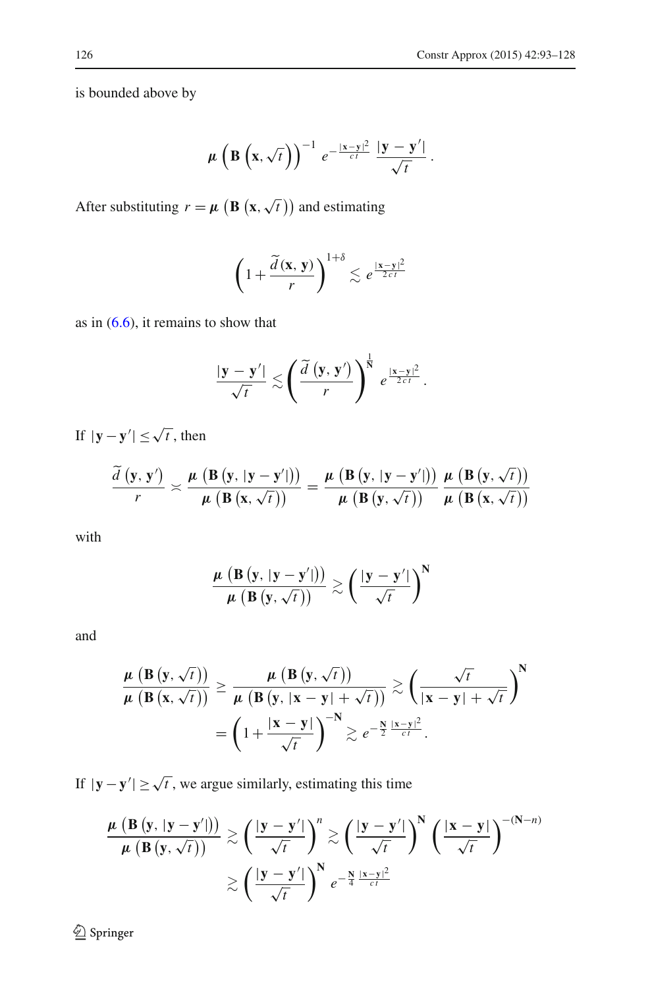is bounded above by

$$
\mu\left(\mathbf{B}\left(\mathbf{x},\sqrt{t}\right)\right)^{-1}e^{-\frac{|\mathbf{x}-\mathbf{y}|^2}{ct}}\frac{|\mathbf{y}-\mathbf{y}'|}{\sqrt{t}}.
$$

After substituting  $r = \mu \left( \mathbf{B} \left( \mathbf{x}, \sqrt{t} \right) \right)$  and estimating

$$
\left(1+\frac{\widetilde{d}(\mathbf{x}, \mathbf{y})}{r}\right)^{1+\delta} \lesssim e^{\frac{|\mathbf{x}-\mathbf{y}|^2}{2ct}}
$$

as in  $(6.6)$ , it remains to show that

$$
\frac{|\mathbf{y}-\mathbf{y}'|}{\sqrt{t}} \lesssim \left(\frac{\widetilde{d}\left(\mathbf{y},\mathbf{y}'\right)}{r}\right)^{\frac{1}{N}} e^{\frac{|\mathbf{x}-\mathbf{y}|^2}{2ct}}.
$$

If  $|\mathbf{y} - \mathbf{y}'| \leq \sqrt{t}$ , then

$$
\frac{\widetilde{d}(y, y')}{r} \asymp \frac{\mu (B(y, |y - y'|))}{\mu (B(x, \sqrt{t}))} = \frac{\mu (B(y, |y - y'|))}{\mu (B(y, \sqrt{t}))} \frac{\mu (B(y, \sqrt{t}))}{\mu (B(x, \sqrt{t}))}
$$

with

$$
\frac{\mu\left(\mathbf{B}\left(\mathbf{y},\,|\mathbf{y}-\mathbf{y}'|\right)\right)}{\mu\left(\mathbf{B}\left(\mathbf{y},\,\sqrt{t}\,\right)\right)}\gtrsim\left(\frac{|\mathbf{y}-\mathbf{y}'|}{\sqrt{t}}\right)^{N}
$$

and

$$
\frac{\mu(\mathbf{B}(\mathbf{y},\sqrt{t}))}{\mu(\mathbf{B}(\mathbf{x},\sqrt{t}))} \geq \frac{\mu(\mathbf{B}(\mathbf{y},\sqrt{t}))}{\mu(\mathbf{B}(\mathbf{y},|\mathbf{x}-\mathbf{y}|+\sqrt{t}))} \gtrsim \left(\frac{\sqrt{t}}{|\mathbf{x}-\mathbf{y}|+\sqrt{t}}\right)^{N}
$$

$$
= \left(1 + \frac{|\mathbf{x}-\mathbf{y}|}{\sqrt{t}}\right)^{-N} \gtrsim e^{-\frac{N}{2}\frac{|\mathbf{x}-\mathbf{y}|^{2}}{ct}}.
$$

If  $|\mathbf{y} - \mathbf{y}'| \ge \sqrt{t}$ , we argue similarly, estimating this time

$$
\frac{\mu\left(B\left(y,\,|y-y'|\right)\right)}{\mu\left(B\left(y,\,\sqrt{t}\right)\right)} \gtrsim \left(\frac{|y-y'|}{\sqrt{t}}\right)^n \gtrsim \left(\frac{|y-y'|}{\sqrt{t}}\right)^N \left(\frac{|x-y|}{\sqrt{t}}\right)^{-(N-n)} \gtrsim \left(\frac{|y-y'|}{\sqrt{t}}\right)^N e^{-\frac{N}{4}\frac{|x-y|^2}{ct}}
$$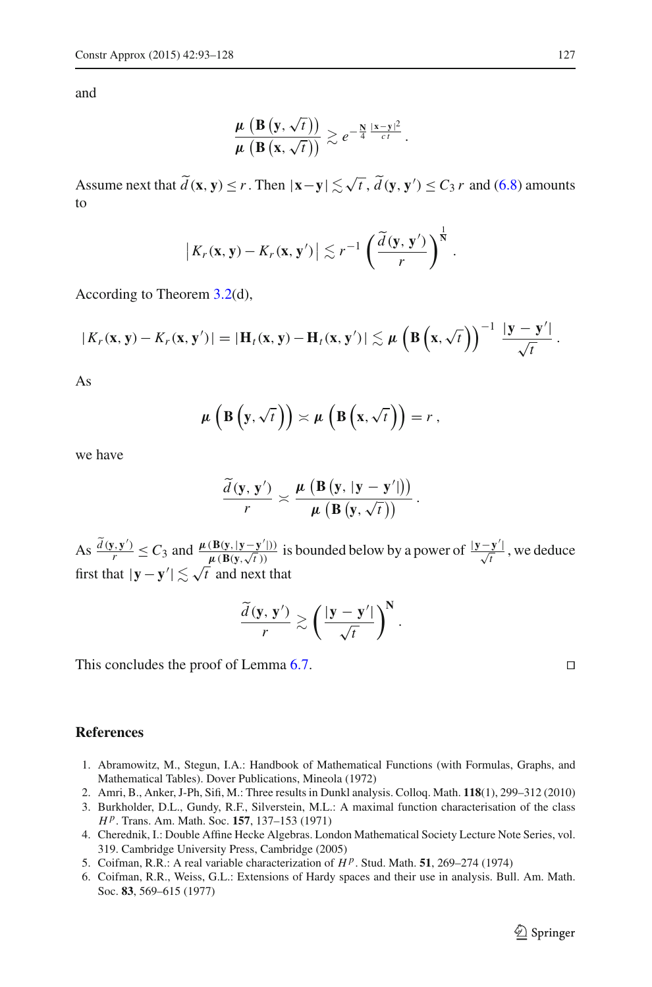and

$$
\frac{\mu\left(B\left(y,\sqrt{t}\right)\right)}{\mu\left(B\left(x,\sqrt{t}\right)\right)} \gtrsim e^{-\frac{N}{4}\frac{|x-y|^2}{ct}}.
$$

Assume next that  $\tilde{d}(\mathbf{x}, \mathbf{y}) \le r$ . Then  $|\mathbf{x} - \mathbf{y}| \lesssim \sqrt{t}$ ,  $\tilde{d}(\mathbf{y}, \mathbf{y}') \le C_3 r$  and [\(6.8\)](#page-32-0) amounts to

$$
\left|K_r(\mathbf{x}, \mathbf{y}) - K_r(\mathbf{x}, \mathbf{y}')\right| \lesssim r^{-1} \left(\frac{\widetilde{d}(\mathbf{y}, \mathbf{y}')}{r}\right)^{\frac{1}{N}}.
$$

According to Theorem [3.2\(](#page-15-2)d),

$$
|K_r(\mathbf{x}, \mathbf{y}) - K_r(\mathbf{x}, \mathbf{y}')| = |\mathbf{H}_t(\mathbf{x}, \mathbf{y}) - \mathbf{H}_t(\mathbf{x}, \mathbf{y}')| \lesssim \mu \left( \mathbf{B}\left(\mathbf{x}, \sqrt{t}\right) \right)^{-1} \frac{|\mathbf{y} - \mathbf{y}'|}{\sqrt{t}}.
$$

As

$$
\mu\left(\mathbf{B}\left(\mathbf{y},\sqrt{t}\right)\right)\asymp\mu\left(\mathbf{B}\left(\mathbf{x},\sqrt{t}\right)\right)=r,
$$

we have

$$
\frac{\widetilde{d}\left(\mathbf{y},\,\mathbf{y}'\right)}{r} \asymp \frac{\mu\,\left(\mathbf{B}\left(\mathbf{y},\,|\mathbf{y}-\mathbf{y}'|\right)\right)}{\mu\,\left(\mathbf{B}\left(\mathbf{y},\,\sqrt{t}\,\right)\right)}\,.
$$

 $\frac{d(y, y')}{dt} \leq C_3$  and  $\frac{\mu(B(y, |y-y'|))}{\mu(B(y, \sqrt{t}))}$  is bounded below by a power of  $\frac{|y-y'|}{\sqrt{t}}$ , we deduce first that  $|\mathbf{y} - \mathbf{y}'| \lesssim \sqrt{t}$  and next that

$$
\frac{\widetilde{d}(\mathbf{y}, \mathbf{y}')}{r} \gtrsim \left(\frac{|\mathbf{y} - \mathbf{y}'|}{\sqrt{t}}\right)^{\mathbf{N}}.
$$

This concludes the proof of Lemma [6.7.](#page-32-2)

# <span id="page-34-4"></span>**References**

- 1. Abramowitz, M., Stegun, I.A.: Handbook of Mathematical Functions (with Formulas, Graphs, and Mathematical Tables). Dover Publications, Mineola (1972)
- <span id="page-34-5"></span>2. Amri, B., Anker, J-Ph, Sifi, M.: Three results in Dunkl analysis. Colloq. Math. **118**(1), 299–312 (2010)
- <span id="page-34-1"></span>3. Burkholder, D.L., Gundy, R.F., Silverstein, M.L.: A maximal function characterisation of the class *H <sup>p</sup>*. Trans. Am. Math. Soc. **157**, 137–153 (1971)
- <span id="page-34-0"></span>4. Cherednik, I.: Double Affine Hecke Algebras. London Mathematical Society Lecture Note Series, vol. 319. Cambridge University Press, Cambridge (2005)
- <span id="page-34-2"></span>5. Coifman, R.R.: A real variable characterization of *H <sup>p</sup>*. Stud. Math. **51**, 269–274 (1974)
- <span id="page-34-3"></span>6. Coifman, R.R., Weiss, G.L.: Extensions of Hardy spaces and their use in analysis. Bull. Am. Math. Soc. **83**, 569–615 (1977)